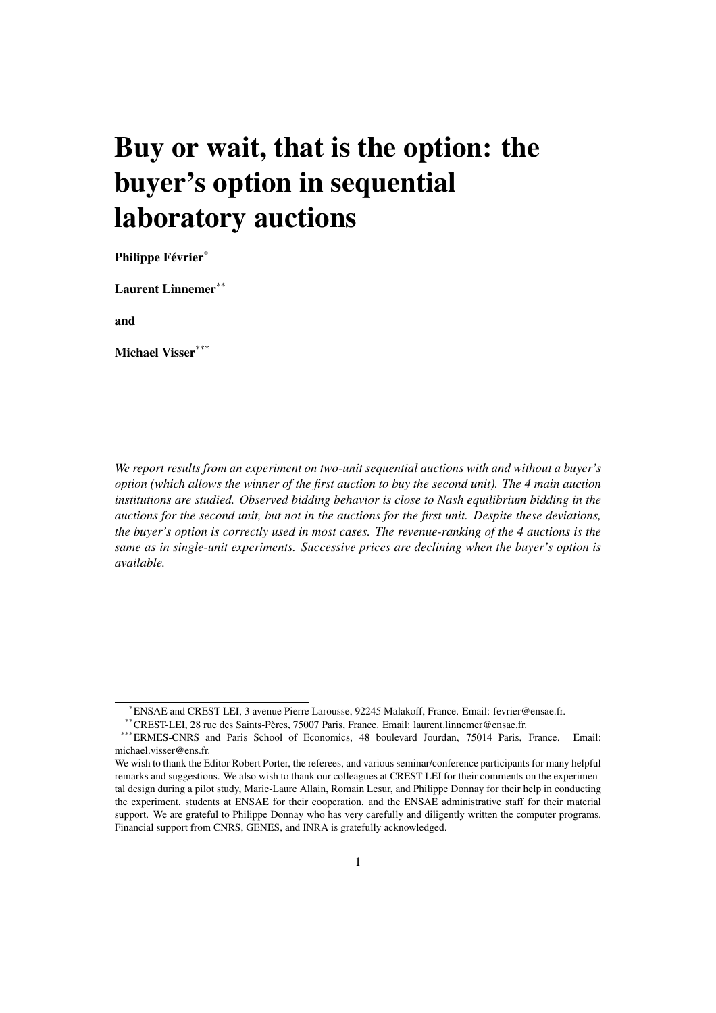# Buy or wait, that is the option: the buyer's option in sequential laboratory auctions

Philippe Février<sup>\*</sup>

Laurent Linnemer\*\*

and

Michael Visser\*\*\*

*We report results from an experiment on two-unit sequential auctions with and without a buyer's option (which allows the winner of the first auction to buy the second unit). The 4 main auction institutions are studied. Observed bidding behavior is close to Nash equilibrium bidding in the auctions for the second unit, but not in the auctions for the first unit. Despite these deviations, the buyer's option is correctly used in most cases. The revenue-ranking of the 4 auctions is the same as in single-unit experiments. Successive prices are declining when the buyer's option is available.*

<sup>\*</sup>ENSAE and CREST-LEI, 3 avenue Pierre Larousse, 92245 Malakoff, France. Email: fevrier@ensae.fr.

<sup>\*\*</sup>CREST-LEI, 28 rue des Saints-Pères, 75007 Paris, France. Email: laurent.linnemer@ensae.fr.

<sup>\*\*\*</sup>ERMES-CNRS and Paris School of Economics, 48 boulevard Jourdan, 75014 Paris, France. Email: michael.visser@ens.fr.

We wish to thank the Editor Robert Porter, the referees, and various seminar/conference participants for many helpful remarks and suggestions. We also wish to thank our colleagues at CREST-LEI for their comments on the experimental design during a pilot study, Marie-Laure Allain, Romain Lesur, and Philippe Donnay for their help in conducting the experiment, students at ENSAE for their cooperation, and the ENSAE administrative staff for their material support. We are grateful to Philippe Donnay who has very carefully and diligently written the computer programs. Financial support from CNRS, GENES, and INRA is gratefully acknowledged.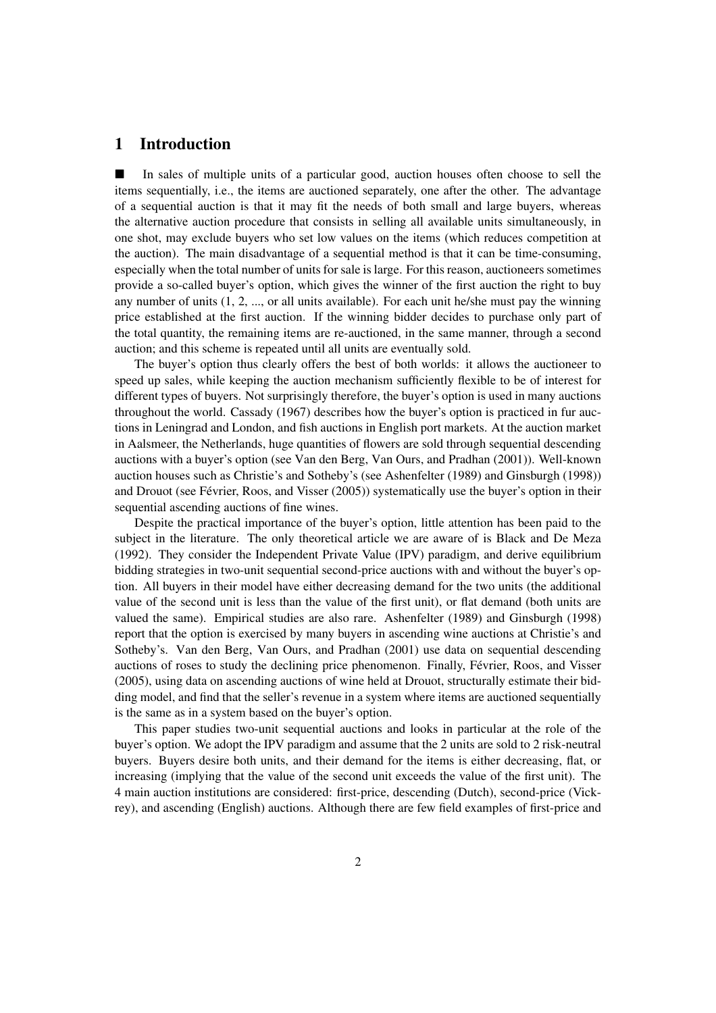### 1 Introduction

- In sales of multiple units of a particular good, auction houses often choose to sell the items sequentially, i.e., the items are auctioned separately, one after the other. The advantage of a sequential auction is that it may fit the needs of both small and large buyers, whereas the alternative auction procedure that consists in selling all available units simultaneously, in one shot, may exclude buyers who set low values on the items (which reduces competition at the auction). The main disadvantage of a sequential method is that it can be time-consuming, especially when the total number of units for sale is large. For this reason, auctioneers sometimes provide a so-called buyer's option, which gives the winner of the first auction the right to buy any number of units  $(1, 2, \ldots)$  or all units available). For each unit he/she must pay the winning price established at the first auction. If the winning bidder decides to purchase only part of the total quantity, the remaining items are re-auctioned, in the same manner, through a second auction; and this scheme is repeated until all units are eventually sold.

The buyer's option thus clearly offers the best of both worlds: it allows the auctioneer to speed up sales, while keeping the auction mechanism sufficiently flexible to be of interest for different types of buyers. Not surprisingly therefore, the buyer's option is used in many auctions throughout the world. Cassady (1967) describes how the buyer's option is practiced in fur auctions in Leningrad and London, and fish auctions in English port markets. At the auction market in Aalsmeer, the Netherlands, huge quantities of flowers are sold through sequential descending auctions with a buyer's option (see Van den Berg, Van Ours, and Pradhan (2001)). Well-known auction houses such as Christie's and Sotheby's (see Ashenfelter (1989) and Ginsburgh (1998)) and Drouot (see Février, Roos, and Visser (2005)) systematically use the buyer's option in their sequential ascending auctions of fine wines.

Despite the practical importance of the buyer's option, little attention has been paid to the subject in the literature. The only theoretical article we are aware of is Black and De Meza (1992). They consider the Independent Private Value (IPV) paradigm, and derive equilibrium bidding strategies in two-unit sequential second-price auctions with and without the buyer's option. All buyers in their model have either decreasing demand for the two units (the additional value of the second unit is less than the value of the first unit), or flat demand (both units are valued the same). Empirical studies are also rare. Ashenfelter (1989) and Ginsburgh (1998) report that the option is exercised by many buyers in ascending wine auctions at Christie's and Sotheby's. Van den Berg, Van Ours, and Pradhan (2001) use data on sequential descending auctions of roses to study the declining price phenomenon. Finally, Février, Roos, and Visser (2005), using data on ascending auctions of wine held at Drouot, structurally estimate their bidding model, and find that the seller's revenue in a system where items are auctioned sequentially is the same as in a system based on the buyer's option.

This paper studies two-unit sequential auctions and looks in particular at the role of the buyer's option. We adopt the IPV paradigm and assume that the 2 units are sold to 2 risk-neutral buyers. Buyers desire both units, and their demand for the items is either decreasing, flat, or increasing (implying that the value of the second unit exceeds the value of the first unit). The 4 main auction institutions are considered: first-price, descending (Dutch), second-price (Vickrey), and ascending (English) auctions. Although there are few field examples of first-price and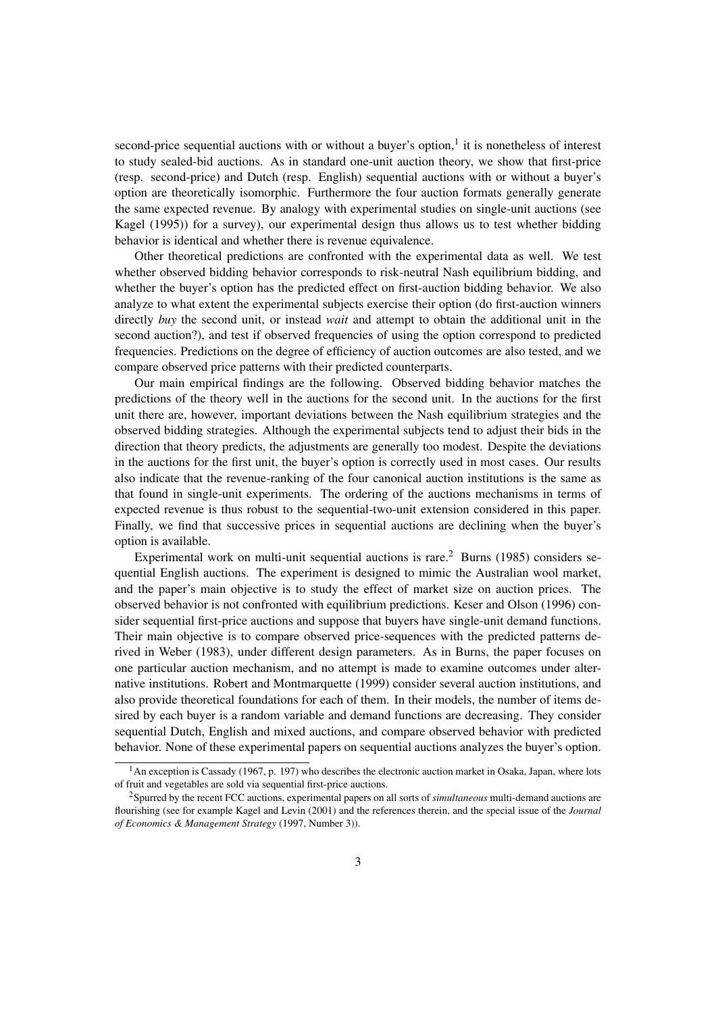second-price sequential auctions with or without a buyer's option, $<sup>1</sup>$  it is nonetheless of interest</sup> to study sealed-bid auctions. As in standard one-unit auction theory, we show that first-price (resp. second-price) and Dutch (resp. English) sequential auctions with or without a buyer's option are theoretically isomorphic. Furthermore the four auction formats generally generate the same expected revenue. By analogy with experimental studies on single-unit auctions (see Kagel (1995)) for a survey), our experimental design thus allows us to test whether bidding behavior is identical and whether there is revenue equivalence.

Other theoretical predictions are confronted with the experimental data as well. We test whether observed bidding behavior corresponds to risk-neutral Nash equilibrium bidding, and whether the buyer's option has the predicted effect on first-auction bidding behavior. We also analyze to what extent the experimental subjects exercise their option (do first-auction winners directly *buy* the second unit, or instead *wait* and attempt to obtain the additional unit in the second auction?), and test if observed frequencies of using the option correspond to predicted frequencies. Predictions on the degree of efficiency of auction outcomes are also tested, and we compare observed price patterns with their predicted counterparts.

Our main empirical findings are the following. Observed bidding behavior matches the predictions of the theory well in the auctions for the second unit. In the auctions for the first unit there are, however, important deviations between the Nash equilibrium strategies and the observed bidding strategies. Although the experimental subjects tend to adjust their bids in the direction that theory predicts, the adjustments are generally too modest. Despite the deviations in the auctions for the first unit, the buyer's option is correctly used in most cases. Our results also indicate that the revenue-ranking of the four canonical auction institutions is the same as that found in single-unit experiments. The ordering of the auctions mechanisms in terms of expected revenue is thus robust to the sequential-two-unit extension considered in this paper. Finally, we find that successive prices in sequential auctions are declining when the buyer's option is available.

Experimental work on multi-unit sequential auctions is rare.<sup>2</sup> Burns (1985) considers sequential English auctions. The experiment is designed to mimic the Australian wool market, and the paper's main objective is to study the effect of market size on auction prices. The observed behavior is not confronted with equilibrium predictions. Keser and Olson (1996) consider sequential first-price auctions and suppose that buyers have single-unit demand functions. Their main objective is to compare observed price-sequences with the predicted patterns derived in Weber (1983), under different design parameters. As in Burns, the paper focuses on one particular auction mechanism, and no attempt is made to examine outcomes under alternative institutions. Robert and Montmarquette (1999) consider several auction institutions, and also provide theoretical foundations for each of them. In their models, the number of items desired by each buyer is a random variable and demand functions are decreasing. They consider sequential Dutch, English and mixed auctions, and compare observed behavior with predicted behavior. None of these experimental papers on sequential auctions analyzes the buyer's option.

<sup>&</sup>lt;sup>1</sup>An exception is Cassady (1967, p. 197) who describes the electronic auction market in Osaka, Japan, where lots of fruit and vegetables are sold via sequential first-price auctions.

<sup>2</sup>Spurred by the recent FCC auctions, experimental papers on all sorts of *simultaneous* multi-demand auctions are flourishing (see for example Kagel and Levin (2001) and the references therein, and the special issue of the *Journal of Economics & Management Strategy* (1997, Number 3)).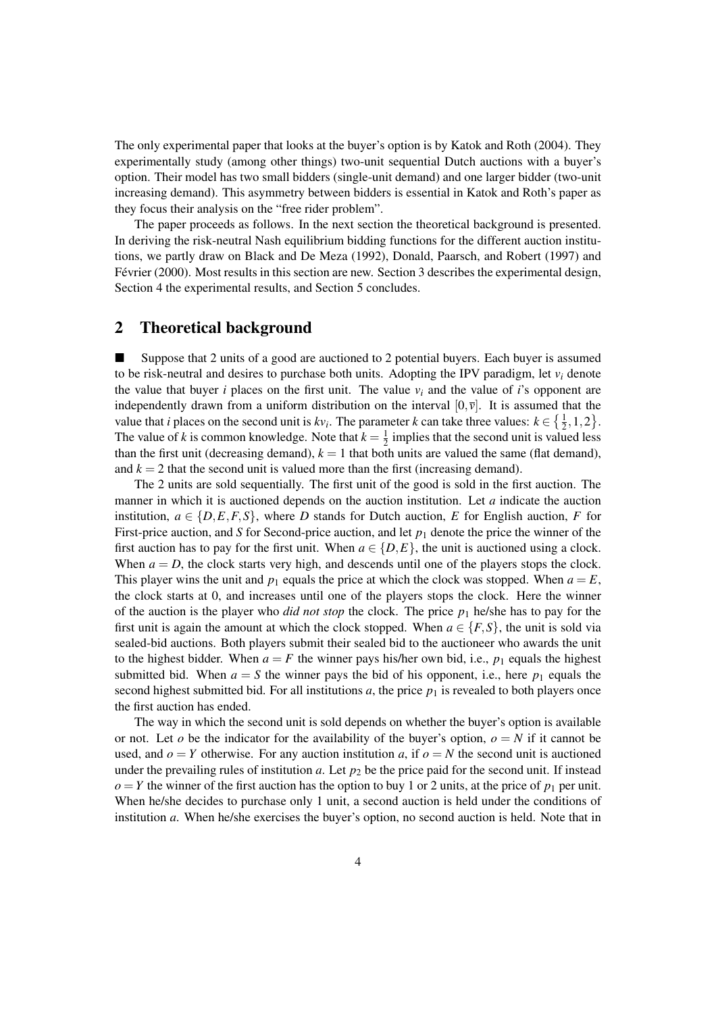The only experimental paper that looks at the buyer's option is by Katok and Roth (2004). They experimentally study (among other things) two-unit sequential Dutch auctions with a buyer's option. Their model has two small bidders (single-unit demand) and one larger bidder (two-unit increasing demand). This asymmetry between bidders is essential in Katok and Roth's paper as they focus their analysis on the "free rider problem".

The paper proceeds as follows. In the next section the theoretical background is presented. In deriving the risk-neutral Nash equilibrium bidding functions for the different auction institutions, we partly draw on Black and De Meza (1992), Donald, Paarsch, and Robert (1997) and Février (2000). Most results in this section are new. Section 3 describes the experimental design, Section 4 the experimental results, and Section 5 concludes.

### 2 Theoretical background

- Suppose that 2 units of a good are auctioned to 2 potential buyers. Each buyer is assumed to be risk-neutral and desires to purchase both units. Adopting the IPV paradigm, let  $v_i$  denote the value that buyer *i* places on the first unit. The value  $v_i$  and the value of *i*'s opponent are independently drawn from a uniform distribution on the interval  $[0, \overline{v}]$ . It is assumed that the value that *i* places on the second unit is  $kv_i$ . The parameter *k* can take three values:  $k \in \{\frac{1}{2}, 1, 2\}$ . The value of *k* is common knowledge. Note that  $k = \frac{1}{2}$  implies that the second unit is valued less than the first unit (decreasing demand),  $k = 1$  that both units are valued the same (flat demand), and  $k = 2$  that the second unit is valued more than the first (increasing demand).

The 2 units are sold sequentially. The first unit of the good is sold in the first auction. The manner in which it is auctioned depends on the auction institution. Let *a* indicate the auction institution,  $a \in \{D, E, F, S\}$ , where *D* stands for Dutch auction, *E* for English auction, *F* for First-price auction, and *S* for Second-price auction, and let  $p_1$  denote the price the winner of the first auction has to pay for the first unit. When  $a \in \{D, E\}$ , the unit is auctioned using a clock. When  $a = D$ , the clock starts very high, and descends until one of the players stops the clock. This player wins the unit and  $p_1$  equals the price at which the clock was stopped. When  $a = E$ , the clock starts at 0, and increases until one of the players stops the clock. Here the winner of the auction is the player who *did not stop* the clock. The price  $p_1$  he/she has to pay for the first unit is again the amount at which the clock stopped. When  $a \in \{F, S\}$ , the unit is sold via sealed-bid auctions. Both players submit their sealed bid to the auctioneer who awards the unit to the highest bidder. When  $a = F$  the winner pays his/her own bid, i.e.,  $p_1$  equals the highest submitted bid. When  $a = S$  the winner pays the bid of his opponent, i.e., here  $p_1$  equals the second highest submitted bid. For all institutions  $a$ , the price  $p_1$  is revealed to both players once the first auction has ended.

The way in which the second unit is sold depends on whether the buyer's option is available or not. Let *o* be the indicator for the availability of the buyer's option,  $o = N$  if it cannot be used, and  $o = Y$  otherwise. For any auction institution *a*, if  $o = N$  the second unit is auctioned under the prevailing rules of institution *a*. Let  $p_2$  be the price paid for the second unit. If instead  $o = Y$  the winner of the first auction has the option to buy 1 or 2 units, at the price of  $p_1$  per unit. When he/she decides to purchase only 1 unit, a second auction is held under the conditions of institution *a*. When he/she exercises the buyer's option, no second auction is held. Note that in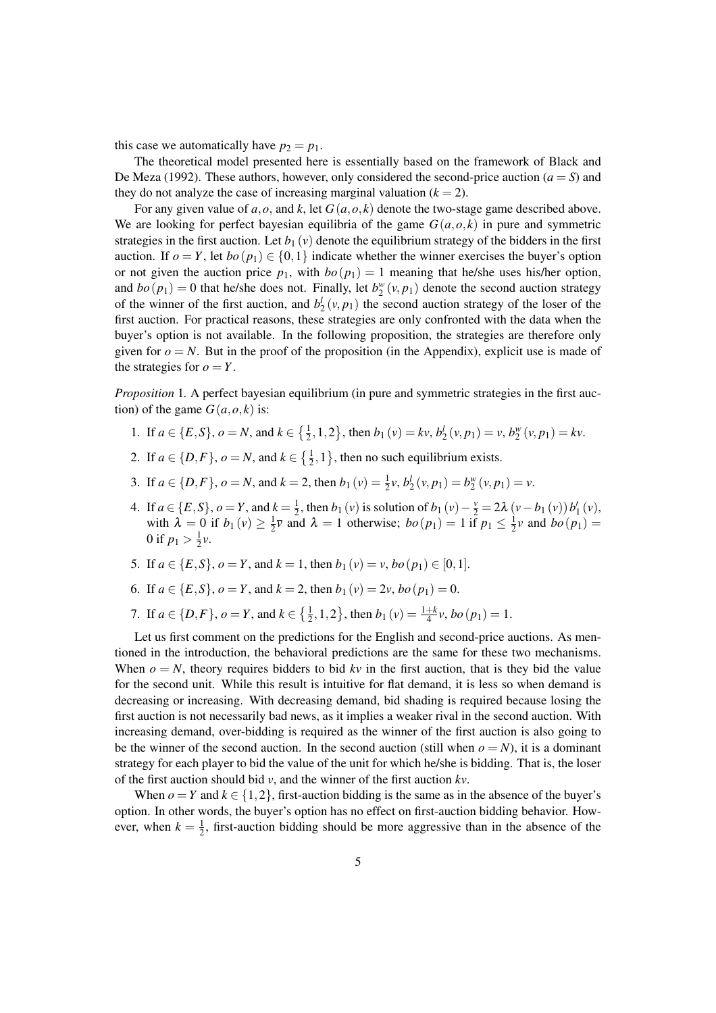this case we automatically have  $p_2 = p_1$ .

The theoretical model presented here is essentially based on the framework of Black and De Meza (1992). These authors, however, only considered the second-price auction ( $a = S$ ) and they do not analyze the case of increasing marginal valuation  $(k = 2)$ .

For any given value of  $a$ ,  $o$ , and  $k$ , let  $G(a, o, k)$  denote the two-stage game described above. We are looking for perfect bayesian equilibria of the game  $G(a, o, k)$  in pure and symmetric strategies in the first auction. Let  $b_1(v)$  denote the equilibrium strategy of the bidders in the first auction. If  $o = Y$ , let  $bo(p_1) \in \{0,1\}$  indicate whether the winner exercises the buyer's option or not given the auction price  $p_1$ , with  $bo(p_1) = 1$  meaning that he/she uses his/her option, and  $bo(p_1) = 0$  that he/she does not. Finally, let  $b_2^w(v, p_1)$  denote the second auction strategy of the winner of the first auction, and  $b_2^l(v, p_1)$  the second auction strategy of the loser of the first auction. For practical reasons, these strategies are only confronted with the data when the buyer's option is not available. In the following proposition, the strategies are therefore only given for  $o = N$ . But in the proof of the proposition (in the Appendix), explicit use is made of the strategies for  $o = Y$ .

*Proposition* 1. A perfect bayesian equilibrium (in pure and symmetric strategies in the first auction) of the game  $G(a, o, k)$  is:

- 1. If  $a \in \{E, S\}$ ,  $o = N$ , and  $k \in \{\frac{1}{2}, 1, 2\}$ , then  $b_1(v) = kv$ ,  $b_2(v, p_1) = v$ ,  $b_2^w(v, p_1) = kv$ .
- 2. If  $a \in \{D, F\}$ ,  $o = N$ , and  $k \in \{\frac{1}{2}, 1\}$ , then no such equilibrium exists.
- 3. If  $a \in \{D, F\}$ ,  $o = N$ , and  $k = 2$ , then  $b_1(v) = \frac{1}{2}v$ ,  $b_2^l(v, p_1) = b_2^w(v, p_1) = v$ .
- 4. If  $a \in \{E, S\}$ ,  $o = Y$ , and  $k = \frac{1}{2}$ , then  $b_1(v)$  is solution of  $b_1(v) \frac{v}{2} = 2\lambda (v b_1(v)) b_1'(v)$ , with  $\lambda = 0$  if  $b_1(v) \ge \frac{1}{2}\overline{v}$  and  $\lambda = 1$  otherwise;  $b_0(p_1) = 1$  if  $p_1 \le \frac{1}{2}v$  and  $b_0(p_1) = 1$ 0 if  $p_1 > \frac{1}{2}v$ .
- 5. If  $a \in \{E, S\}$ ,  $o = Y$ , and  $k = 1$ , then  $b_1(v) = v$ ,  $b_0(p_1) \in [0, 1]$ .
- 6. If  $a \in \{E, S\}$ ,  $o = Y$ , and  $k = 2$ , then  $b_1(v) = 2v$ ,  $b_0(v_1) = 0$ .
- 7. If  $a \in \{D, F\}$ ,  $o = Y$ , and  $k \in \{\frac{1}{2}, 1, 2\}$ , then  $b_1(v) = \frac{1+k}{4}v$ ,  $bo(p_1) = 1$ .

Let us first comment on the predictions for the English and second-price auctions. As mentioned in the introduction, the behavioral predictions are the same for these two mechanisms. When  $o = N$ , theory requires bidders to bid kv in the first auction, that is they bid the value for the second unit. While this result is intuitive for flat demand, it is less so when demand is decreasing or increasing. With decreasing demand, bid shading is required because losing the first auction is not necessarily bad news, as it implies a weaker rival in the second auction. With increasing demand, over-bidding is required as the winner of the first auction is also going to be the winner of the second auction. In the second auction (still when  $o = N$ ), it is a dominant strategy for each player to bid the value of the unit for which he/she is bidding. That is, the loser of the first auction should bid *v*, and the winner of the first auction *kv*.

When  $o = Y$  and  $k \in \{1,2\}$ , first-auction bidding is the same as in the absence of the buyer's option. In other words, the buyer's option has no effect on first-auction bidding behavior. However, when  $k = \frac{1}{2}$ , first-auction bidding should be more aggressive than in the absence of the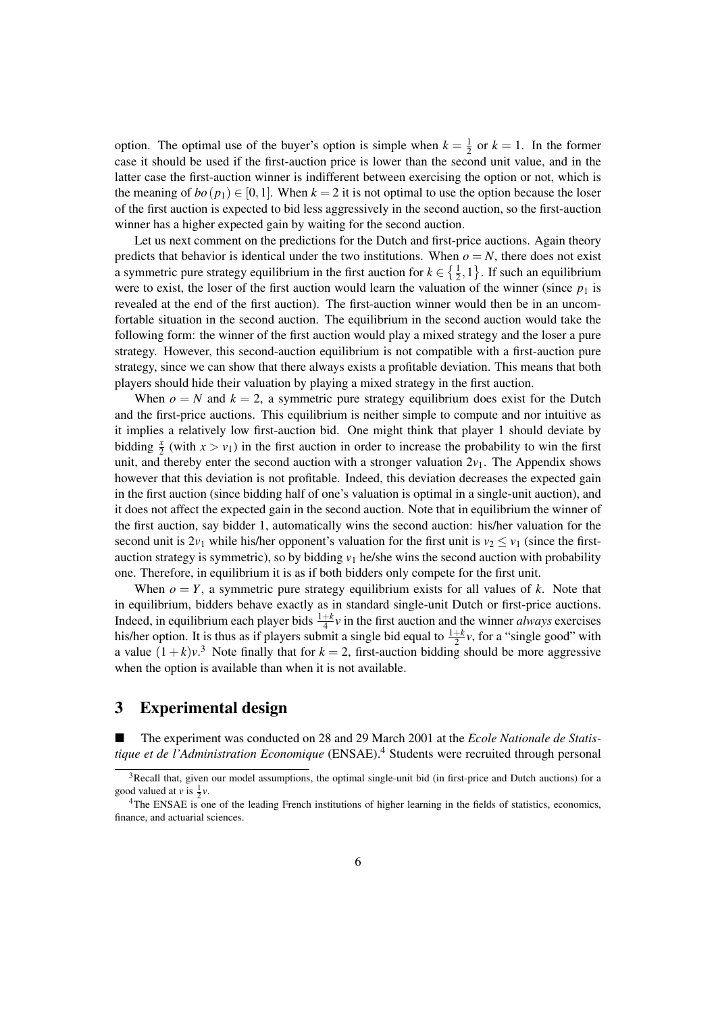option. The optimal use of the buyer's option is simple when  $k = \frac{1}{2}$  or  $k = 1$ . In the former case it should be used if the first-auction price is lower than the second unit value, and in the latter case the first-auction winner is indifferent between exercising the option or not, which is the meaning of  $bo(p_1) \in [0,1]$ . When  $k = 2$  it is not optimal to use the option because the loser of the first auction is expected to bid less aggressively in the second auction, so the first-auction winner has a higher expected gain by waiting for the second auction.

Let us next comment on the predictions for the Dutch and first-price auctions. Again theory predicts that behavior is identical under the two institutions. When  $o = N$ , there does not exist a symmetric pure strategy equilibrium in the first auction for  $k \in \{\frac{1}{2}, 1\}$ . If such an equilibrium were to exist, the loser of the first auction would learn the valuation of the winner (since  $p_1$  is revealed at the end of the first auction). The first-auction winner would then be in an uncomfortable situation in the second auction. The equilibrium in the second auction would take the following form: the winner of the first auction would play a mixed strategy and the loser a pure strategy. However, this second-auction equilibrium is not compatible with a first-auction pure strategy, since we can show that there always exists a profitable deviation. This means that both players should hide their valuation by playing a mixed strategy in the first auction.

When  $o = N$  and  $k = 2$ , a symmetric pure strategy equilibrium does exist for the Dutch and the first-price auctions. This equilibrium is neither simple to compute and nor intuitive as it implies a relatively low first-auction bid. One might think that player 1 should deviate by bidding  $\frac{x}{2}$  (with  $x > v_1$ ) in the first auction in order to increase the probability to win the first unit, and thereby enter the second auction with a stronger valuation  $2v_1$ . The Appendix shows however that this deviation is not profitable. Indeed, this deviation decreases the expected gain in the first auction (since bidding half of one's valuation is optimal in a single-unit auction), and it does not affect the expected gain in the second auction. Note that in equilibrium the winner of the first auction, say bidder 1, automatically wins the second auction: his/her valuation for the second unit is  $2v_1$  while his/her opponent's valuation for the first unit is  $v_2 \le v_1$  (since the firstauction strategy is symmetric), so by bidding  $v_1$  he/she wins the second auction with probability one. Therefore, in equilibrium it is as if both bidders only compete for the first unit.

When  $o = Y$ , a symmetric pure strategy equilibrium exists for all values of *k*. Note that in equilibrium, bidders behave exactly as in standard single-unit Dutch or first-price auctions. Indeed, in equilibrium each player bids  $\frac{1+k}{4}v$  in the first auction and the winner *always* exercises his/her option. It is thus as if players submit a single bid equal to  $\frac{1+k}{2}v$ , for a "single good" with a value  $(1 + k)v^3$ . Note finally that for  $k = 2$ , first-auction bidding should be more aggressive when the option is available than when it is not available.

## 3 Experimental design

- The experiment was conducted on 28 and 29 March 2001 at the *Ecole Nationale de Statistique et de l'Administration Economique* (ENSAE).4 Students were recruited through personal

 $3$ Recall that, given our model assumptions, the optimal single-unit bid (in first-price and Dutch auctions) for a good valued at *v* is  $\frac{1}{2}v$ .

<sup>&</sup>lt;sup>4</sup>The ENSAE is one of the leading French institutions of higher learning in the fields of statistics, economics, finance, and actuarial sciences.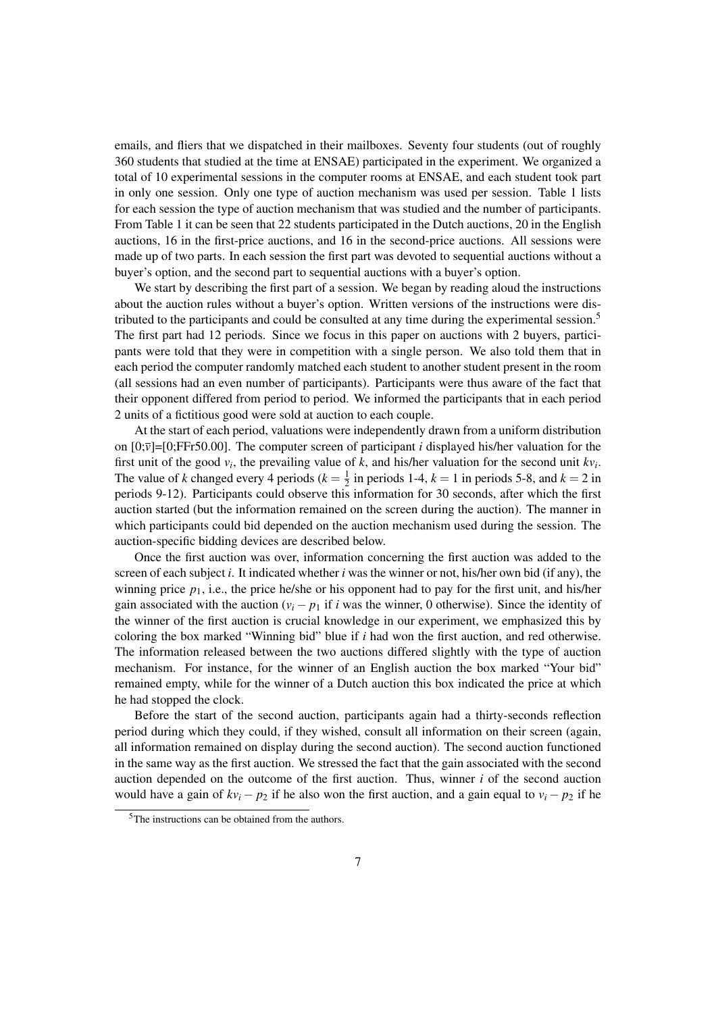emails, and fliers that we dispatched in their mailboxes. Seventy four students (out of roughly 360 students that studied at the time at ENSAE) participated in the experiment. We organized a total of 10 experimental sessions in the computer rooms at ENSAE, and each student took part in only one session. Only one type of auction mechanism was used per session. Table 1 lists for each session the type of auction mechanism that was studied and the number of participants. From Table 1 it can be seen that 22 students participated in the Dutch auctions, 20 in the English auctions, 16 in the first-price auctions, and 16 in the second-price auctions. All sessions were made up of two parts. In each session the first part was devoted to sequential auctions without a buyer's option, and the second part to sequential auctions with a buyer's option.

We start by describing the first part of a session. We began by reading aloud the instructions about the auction rules without a buyer's option. Written versions of the instructions were distributed to the participants and could be consulted at any time during the experimental session.<sup>5</sup> The first part had 12 periods. Since we focus in this paper on auctions with 2 buyers, participants were told that they were in competition with a single person. We also told them that in each period the computer randomly matched each student to another student present in the room (all sessions had an even number of participants). Participants were thus aware of the fact that their opponent differed from period to period. We informed the participants that in each period 2 units of a fictitious good were sold at auction to each couple.

At the start of each period, valuations were independently drawn from a uniform distribution on  $[0;\overline{v}]=[0;\overline{FFr50.00}]$ . The computer screen of participant *i* displayed his/her valuation for the first unit of the good  $v_i$ , the prevailing value of  $k$ , and his/her valuation for the second unit  $kv_i$ . The value of *k* changed every 4 periods ( $k = \frac{1}{2}$  in periods 1-4,  $k = 1$  in periods 5-8, and  $k = 2$  in periods 9-12). Participants could observe this information for 30 seconds, after which the first auction started (but the information remained on the screen during the auction). The manner in which participants could bid depended on the auction mechanism used during the session. The auction-specific bidding devices are described below.

Once the first auction was over, information concerning the first auction was added to the screen of each subject *i*. It indicated whether *i* was the winner or not, his/her own bid (if any), the winning price  $p_1$ , i.e., the price he/she or his opponent had to pay for the first unit, and his/her gain associated with the auction  $(v_i - p_1)$  if *i* was the winner, 0 otherwise). Since the identity of the winner of the first auction is crucial knowledge in our experiment, we emphasized this by coloring the box marked "Winning bid" blue if *i* had won the first auction, and red otherwise. The information released between the two auctions differed slightly with the type of auction mechanism. For instance, for the winner of an English auction the box marked "Your bid" remained empty, while for the winner of a Dutch auction this box indicated the price at which he had stopped the clock.

Before the start of the second auction, participants again had a thirty-seconds reflection period during which they could, if they wished, consult all information on their screen (again, all information remained on display during the second auction). The second auction functioned in the same way as the first auction. We stressed the fact that the gain associated with the second auction depended on the outcome of the first auction. Thus, winner *i* of the second auction would have a gain of  $kv_i - p_2$  if he also won the first auction, and a gain equal to  $v_i - p_2$  if he

<sup>5</sup>The instructions can be obtained from the authors.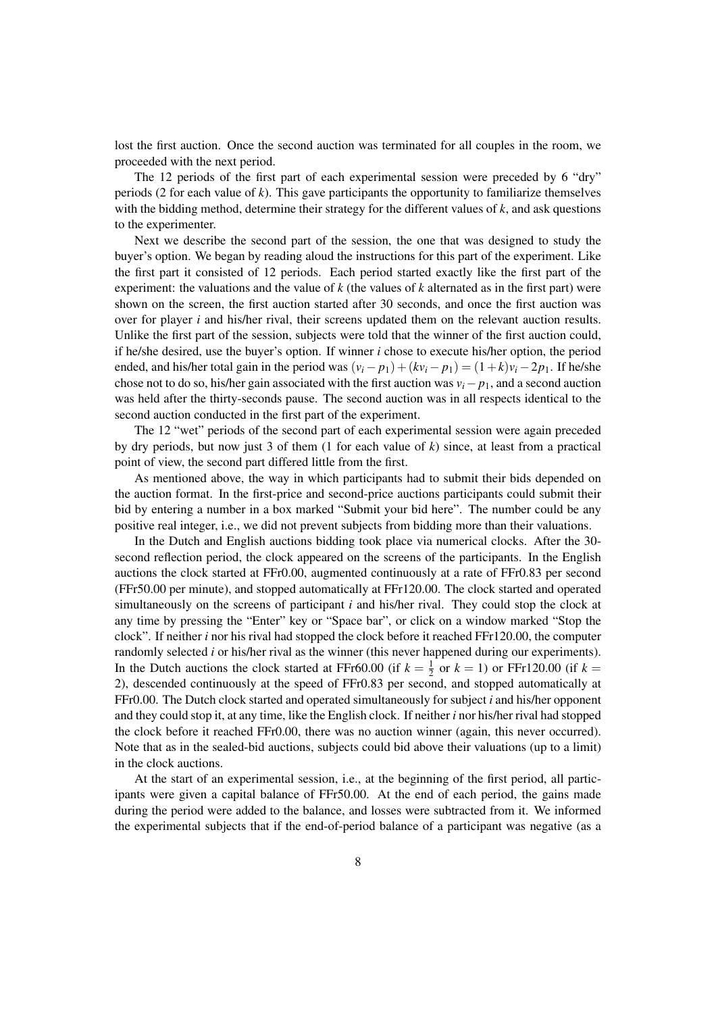lost the first auction. Once the second auction was terminated for all couples in the room, we proceeded with the next period.

The 12 periods of the first part of each experimental session were preceded by 6 "dry" periods (2 for each value of *k*). This gave participants the opportunity to familiarize themselves with the bidding method, determine their strategy for the different values of *k*, and ask questions to the experimenter.

Next we describe the second part of the session, the one that was designed to study the buyer's option. We began by reading aloud the instructions for this part of the experiment. Like the first part it consisted of 12 periods. Each period started exactly like the first part of the experiment: the valuations and the value of *k* (the values of *k* alternated as in the first part) were shown on the screen, the first auction started after 30 seconds, and once the first auction was over for player *i* and his/her rival, their screens updated them on the relevant auction results. Unlike the first part of the session, subjects were told that the winner of the first auction could, if he/she desired, use the buyer's option. If winner *i* chose to execute his/her option, the period ended, and his/her total gain in the period was  $(v_i - p_1) + (kv_i - p_1) = (1 + k)v_i - 2p_1$ . If he/she chose not to do so, his/her gain associated with the first auction was *vi*− *p*1, and a second auction was held after the thirty-seconds pause. The second auction was in all respects identical to the second auction conducted in the first part of the experiment.

The 12 "wet" periods of the second part of each experimental session were again preceded by dry periods, but now just 3 of them (1 for each value of *k*) since, at least from a practical point of view, the second part differed little from the first.

As mentioned above, the way in which participants had to submit their bids depended on the auction format. In the first-price and second-price auctions participants could submit their bid by entering a number in a box marked "Submit your bid here". The number could be any positive real integer, i.e., we did not prevent subjects from bidding more than their valuations.

In the Dutch and English auctions bidding took place via numerical clocks. After the 30 second reflection period, the clock appeared on the screens of the participants. In the English auctions the clock started at FFr0.00, augmented continuously at a rate of FFr0.83 per second (FFr50.00 per minute), and stopped automatically at FFr120.00. The clock started and operated simultaneously on the screens of participant *i* and his/her rival. They could stop the clock at any time by pressing the "Enter" key or "Space bar", or click on a window marked "Stop the clock". If neither *i* nor his rival had stopped the clock before it reached FFr120.00, the computer randomly selected *i* or his/her rival as the winner (this never happened during our experiments). In the Dutch auctions the clock started at FFr60.00 (if  $k = \frac{1}{2}$  or  $k = 1$ ) or FFr120.00 (if  $k =$ 2), descended continuously at the speed of FFr0.83 per second, and stopped automatically at FFr0.00. The Dutch clock started and operated simultaneously for subject *i* and his/her opponent and they could stop it, at any time, like the English clock. If neither *i* nor his/her rival had stopped the clock before it reached FFr0.00, there was no auction winner (again, this never occurred). Note that as in the sealed-bid auctions, subjects could bid above their valuations (up to a limit) in the clock auctions.

At the start of an experimental session, i.e., at the beginning of the first period, all participants were given a capital balance of FFr50.00. At the end of each period, the gains made during the period were added to the balance, and losses were subtracted from it. We informed the experimental subjects that if the end-of-period balance of a participant was negative (as a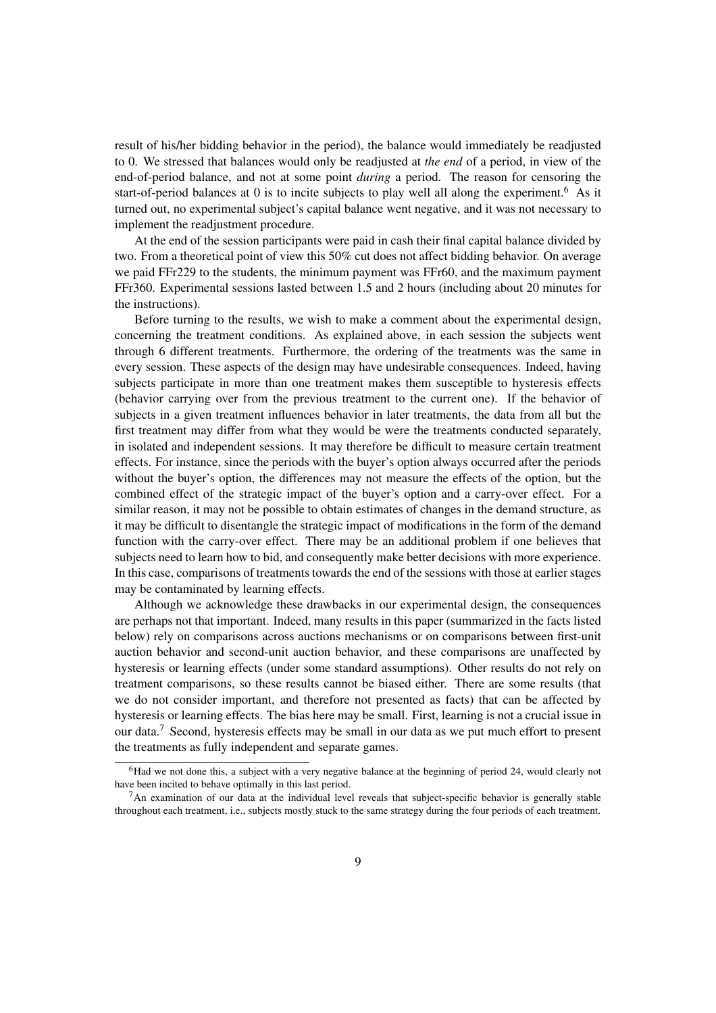result of his/her bidding behavior in the period), the balance would immediately be readjusted to 0. We stressed that balances would only be readjusted at *the end* of a period, in view of the end-of-period balance, and not at some point *during* a period. The reason for censoring the start-of-period balances at 0 is to incite subjects to play well all along the experiment.<sup>6</sup> As it turned out, no experimental subject's capital balance went negative, and it was not necessary to implement the readjustment procedure.

At the end of the session participants were paid in cash their final capital balance divided by two. From a theoretical point of view this 50% cut does not affect bidding behavior. On average we paid FFr229 to the students, the minimum payment was FFr60, and the maximum payment FFr360. Experimental sessions lasted between 1.5 and 2 hours (including about 20 minutes for the instructions).

Before turning to the results, we wish to make a comment about the experimental design, concerning the treatment conditions. As explained above, in each session the subjects went through 6 different treatments. Furthermore, the ordering of the treatments was the same in every session. These aspects of the design may have undesirable consequences. Indeed, having subjects participate in more than one treatment makes them susceptible to hysteresis effects (behavior carrying over from the previous treatment to the current one). If the behavior of subjects in a given treatment influences behavior in later treatments, the data from all but the first treatment may differ from what they would be were the treatments conducted separately, in isolated and independent sessions. It may therefore be difficult to measure certain treatment effects. For instance, since the periods with the buyer's option always occurred after the periods without the buyer's option, the differences may not measure the effects of the option, but the combined effect of the strategic impact of the buyer's option and a carry-over effect. For a similar reason, it may not be possible to obtain estimates of changes in the demand structure, as it may be difficult to disentangle the strategic impact of modifications in the form of the demand function with the carry-over effect. There may be an additional problem if one believes that subjects need to learn how to bid, and consequently make better decisions with more experience. In this case, comparisons of treatments towards the end of the sessions with those at earlier stages may be contaminated by learning effects.

Although we acknowledge these drawbacks in our experimental design, the consequences are perhaps not that important. Indeed, many results in this paper (summarized in the facts listed below) rely on comparisons across auctions mechanisms or on comparisons between first-unit auction behavior and second-unit auction behavior, and these comparisons are unaffected by hysteresis or learning effects (under some standard assumptions). Other results do not rely on treatment comparisons, so these results cannot be biased either. There are some results (that we do not consider important, and therefore not presented as facts) that can be affected by hysteresis or learning effects. The bias here may be small. First, learning is not a crucial issue in our data.7 Second, hysteresis effects may be small in our data as we put much effort to present the treatments as fully independent and separate games.

<sup>&</sup>lt;sup>6</sup>Had we not done this, a subject with a very negative balance at the beginning of period 24, would clearly not have been incited to behave optimally in this last period.

 $<sup>7</sup>$ An examination of our data at the individual level reveals that subject-specific behavior is generally stable</sup> throughout each treatment, i.e., subjects mostly stuck to the same strategy during the four periods of each treatment.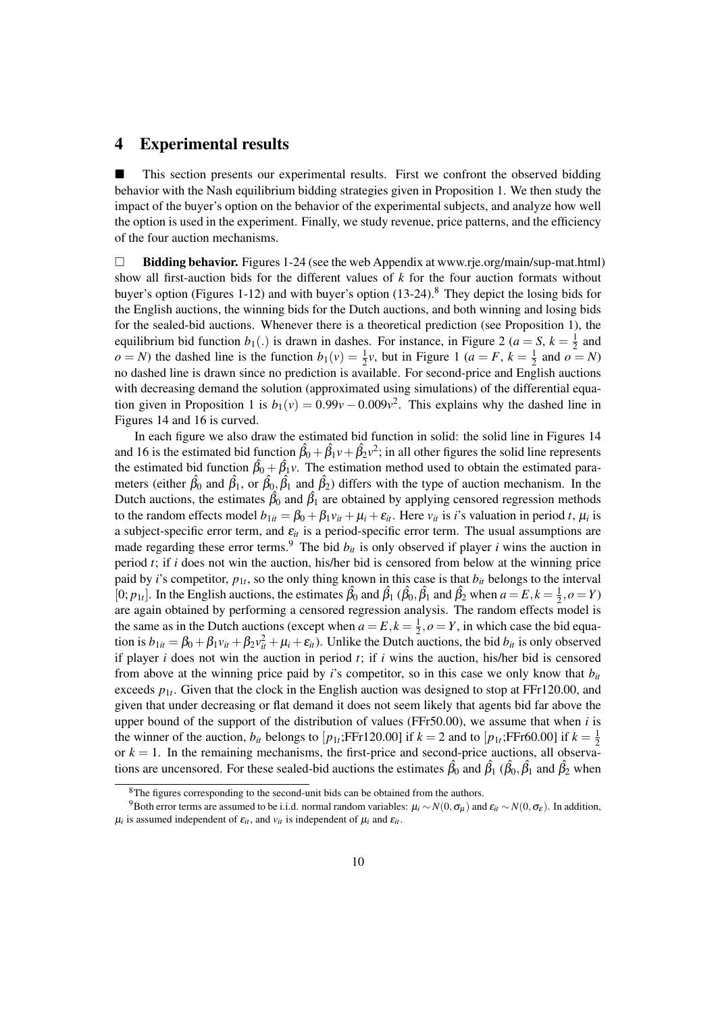#### 4 Experimental results

- This section presents our experimental results. First we confront the observed bidding behavior with the Nash equilibrium bidding strategies given in Proposition 1. We then study the impact of the buyer's option on the behavior of the experimental subjects, and analyze how well the option is used in the experiment. Finally, we study revenue, price patterns, and the efficiency of the four auction mechanisms.

 $\Box$  **Bidding behavior.** Figures 1-24 (see the web Appendix at www.rje.org/main/sup-mat.html) show all first-auction bids for the different values of *k* for the four auction formats without buyer's option (Figures 1-12) and with buyer's option (13-24).<sup>8</sup> They depict the losing bids for the English auctions, the winning bids for the Dutch auctions, and both winning and losing bids for the sealed-bid auctions. Whenever there is a theoretical prediction (see Proposition 1), the equilibrium bid function  $b_1(.)$  is drawn in dashes. For instance, in Figure 2 ( $a = S$ ,  $k = \frac{1}{2}$  and  $o = N$ ) the dashed line is the function  $b_1(v) = \frac{1}{2}v$ , but in Figure 1 ( $a = F$ ,  $k = \frac{1}{2}$  and  $o = N$ ) no dashed line is drawn since no prediction is available. For second-price and English auctions with decreasing demand the solution (approximated using simulations) of the differential equation given in Proposition 1 is  $b_1(v) = 0.99v - 0.009v^2$ . This explains why the dashed line in Figures 14 and 16 is curved.

In each figure we also draw the estimated bid function in solid: the solid line in Figures 14 and 16 is the estimated bid function  $\hat{\beta}_0 + \hat{\beta}_1 v + \hat{\beta}_2 v^2$ ; in all other figures the solid line represents the estimated bid function  $\hat{\beta}_0 + \hat{\beta}_1 v$ . The estimation method used to obtain the estimated parameters (either  $\hat{\beta}_0$  and  $\hat{\beta}_1$ , or  $\hat{\beta}_0$ ,  $\hat{\beta}_1$  and  $\hat{\beta}_2$ ) differs with the type of auction mechanism. In the Dutch auctions, the estimates  $\hat{\beta}_0$  and  $\hat{\beta}_1$  are obtained by applying censored regression methods to the random effects model  $b_{1it} = \beta_0 + \beta_1 v_{it} + \mu_i + \varepsilon_{it}$ . Here  $v_{it}$  is *i*'s valuation in period *t*,  $\mu_i$  is a subject-specific error term, and  $\varepsilon_{it}$  is a period-specific error term. The usual assumptions are made regarding these error terms.<sup>9</sup> The bid  $b_{it}$  is only observed if player *i* wins the auction in period *t*; if *i* does not win the auction, his/her bid is censored from below at the winning price paid by *i*'s competitor,  $p_{1t}$ , so the only thing known in this case is that  $b_{it}$  belongs to the interval [0;  $p_{1t}$ ]. In the English auctions, the estimates  $\hat{\beta}_0$  and  $\hat{\beta}_1$  ( $\hat{\beta}_0$ ,  $\hat{\beta}_1$  and  $\hat{\beta}_2$  when  $a = E, k = \frac{1}{2}, o = Y$ ) are again obtained by performing a censored regression analysis. The random effects model is the same as in the Dutch auctions (except when  $a = E$ ,  $k = \frac{1}{2}$ ,  $o = Y$ , in which case the bid equation is  $b_{1it} = \beta_0 + \beta_1 v_{it} + \beta_2 v_{it}^2 + \mu_i + \varepsilon_{it}$ ). Unlike the Dutch auctions, the bid  $b_{it}$  is only observed if player *i* does not win the auction in period *t*; if *i* wins the auction, his/her bid is censored from above at the winning price paid by *i*'s competitor, so in this case we only know that  $b_{it}$ exceeds  $p_{1t}$ . Given that the clock in the English auction was designed to stop at FFr120.00, and given that under decreasing or flat demand it does not seem likely that agents bid far above the upper bound of the support of the distribution of values (FFr50.00), we assume that when *i* is the winner of the auction,  $b_{it}$  belongs to [ $p_{1t}$ ;FFr120.00] if  $k = 2$  and to [ $p_{1t}$ ;FFr60.00] if  $k = \frac{1}{2}$ or  $k = 1$ . In the remaining mechanisms, the first-price and second-price auctions, all observations are uncensored. For these sealed-bid auctions the estimates  $\hat{\beta}_0$  and  $\hat{\beta}_1$  ( $\hat{\beta}_0$ ,  $\hat{\beta}_1$  and  $\hat{\beta}_2$  when

<sup>&</sup>lt;sup>8</sup>The figures corresponding to the second-unit bids can be obtained from the authors.

<sup>&</sup>lt;sup>9</sup>Both error terms are assumed to be i.i.d. normal random variables:  $\mu_i \sim N(0, \sigma_{\mu})$  and  $\varepsilon_{it} \sim N(0, \sigma_{\varepsilon})$ . In addition,  $\mu_i$  is assumed independent of  $\varepsilon_{it}$ , and  $v_{it}$  is independent of  $\mu_i$  and  $\varepsilon_{it}$ .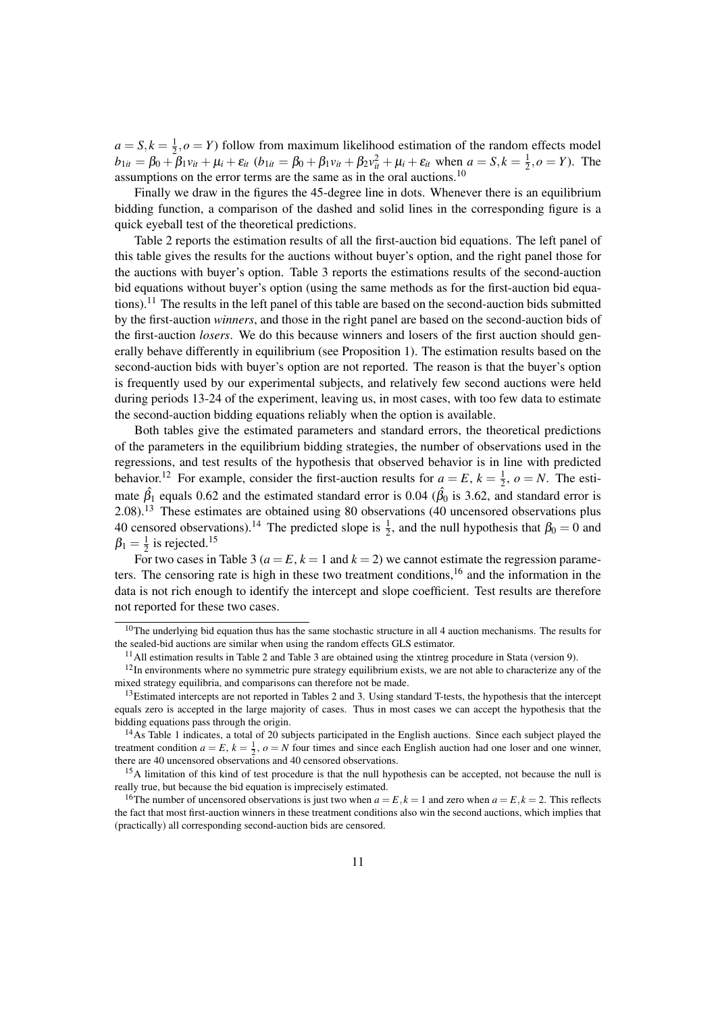$a = S, k = \frac{1}{2}, o = Y$  follow from maximum likelihood estimation of the random effects model  $b_{1it} = \beta_0 + \beta_1 v_{it} + \mu_i + \varepsilon_{it}$  ( $b_{1it} = \beta_0 + \beta_1 v_{it} + \beta_2 v_{it}^2 + \mu_i + \varepsilon_{it}$  when  $a = S, k = \frac{1}{2}, o = Y$ ). The assumptions on the error terms are the same as in the oral auctions.10

Finally we draw in the figures the 45-degree line in dots. Whenever there is an equilibrium bidding function, a comparison of the dashed and solid lines in the corresponding figure is a quick eyeball test of the theoretical predictions.

Table 2 reports the estimation results of all the first-auction bid equations. The left panel of this table gives the results for the auctions without buyer's option, and the right panel those for the auctions with buyer's option. Table 3 reports the estimations results of the second-auction bid equations without buyer's option (using the same methods as for the first-auction bid equations).<sup>11</sup> The results in the left panel of this table are based on the second-auction bids submitted by the first-auction *winners*, and those in the right panel are based on the second-auction bids of the first-auction *losers*. We do this because winners and losers of the first auction should generally behave differently in equilibrium (see Proposition 1). The estimation results based on the second-auction bids with buyer's option are not reported. The reason is that the buyer's option is frequently used by our experimental subjects, and relatively few second auctions were held during periods 13-24 of the experiment, leaving us, in most cases, with too few data to estimate the second-auction bidding equations reliably when the option is available.

Both tables give the estimated parameters and standard errors, the theoretical predictions of the parameters in the equilibrium bidding strategies, the number of observations used in the regressions, and test results of the hypothesis that observed behavior is in line with predicted behavior.<sup>12</sup> For example, consider the first-auction results for  $a = E$ ,  $k = \frac{1}{2}$ ,  $o = N$ . The estimate  $\hat{\beta}_1$  equals 0.62 and the estimated standard error is 0.04 ( $\hat{\beta}_0$  is 3.62, and standard error is 2.08).<sup>13</sup> These estimates are obtained using 80 observations (40 uncensored observations plus 40 censored observations).<sup>14</sup> The predicted slope is  $\frac{1}{2}$ , and the null hypothesis that  $\beta_0 = 0$  and  $\beta_1 = \frac{1}{2}$  is rejected.<sup>15</sup>

For two cases in Table 3 ( $a = E$ ,  $k = 1$  and  $k = 2$ ) we cannot estimate the regression parameters. The censoring rate is high in these two treatment conditions,  $16$  and the information in the data is not rich enough to identify the intercept and slope coefficient. Test results are therefore not reported for these two cases.

 $10$ The underlying bid equation thus has the same stochastic structure in all 4 auction mechanisms. The results for the sealed-bid auctions are similar when using the random effects GLS estimator.

<sup>&</sup>lt;sup>11</sup> All estimation results in Table 2 and Table 3 are obtained using the xtintreg procedure in Stata (version 9).

 $12$ In environments where no symmetric pure strategy equilibrium exists, we are not able to characterize any of the mixed strategy equilibria, and comparisons can therefore not be made.

 $13$ Estimated intercepts are not reported in Tables 2 and 3. Using standard T-tests, the hypothesis that the intercept equals zero is accepted in the large majority of cases. Thus in most cases we can accept the hypothesis that the bidding equations pass through the origin.

<sup>14</sup>As Table 1 indicates, a total of 20 subjects participated in the English auctions. Since each subject played the treatment condition  $a = E$ ,  $k = \frac{1}{2}$ ,  $o = N$  four times and since each English auction had one loser and one winner, there are 40 uncensored observations and 40 censored observations.

<sup>&</sup>lt;sup>15</sup>A limitation of this kind of test procedure is that the null hypothesis can be accepted, not because the null is really true, but because the bid equation is imprecisely estimated.

<sup>&</sup>lt;sup>16</sup>The number of uncensored observations is just two when  $a = E, k = 1$  and zero when  $a = E, k = 2$ . This reflects the fact that most first-auction winners in these treatment conditions also win the second auctions, which implies that (practically) all corresponding second-auction bids are censored.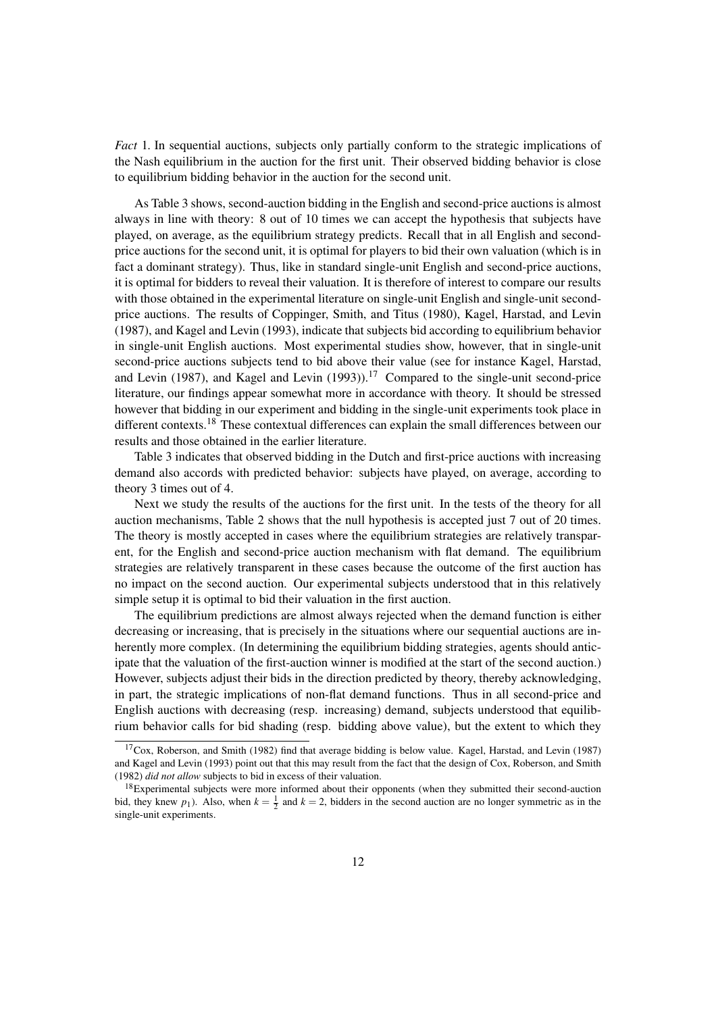*Fact* 1*.* In sequential auctions, subjects only partially conform to the strategic implications of the Nash equilibrium in the auction for the first unit. Their observed bidding behavior is close to equilibrium bidding behavior in the auction for the second unit.

As Table 3 shows, second-auction bidding in the English and second-price auctions is almost always in line with theory: 8 out of 10 times we can accept the hypothesis that subjects have played, on average, as the equilibrium strategy predicts. Recall that in all English and secondprice auctions for the second unit, it is optimal for players to bid their own valuation (which is in fact a dominant strategy). Thus, like in standard single-unit English and second-price auctions, it is optimal for bidders to reveal their valuation. It is therefore of interest to compare our results with those obtained in the experimental literature on single-unit English and single-unit secondprice auctions. The results of Coppinger, Smith, and Titus (1980), Kagel, Harstad, and Levin (1987), and Kagel and Levin (1993), indicate that subjects bid according to equilibrium behavior in single-unit English auctions. Most experimental studies show, however, that in single-unit second-price auctions subjects tend to bid above their value (see for instance Kagel, Harstad, and Levin (1987), and Kagel and Levin (1993)).<sup>17</sup> Compared to the single-unit second-price literature, our findings appear somewhat more in accordance with theory. It should be stressed however that bidding in our experiment and bidding in the single-unit experiments took place in different contexts.18 These contextual differences can explain the small differences between our results and those obtained in the earlier literature.

Table 3 indicates that observed bidding in the Dutch and first-price auctions with increasing demand also accords with predicted behavior: subjects have played, on average, according to theory 3 times out of 4.

Next we study the results of the auctions for the first unit. In the tests of the theory for all auction mechanisms, Table 2 shows that the null hypothesis is accepted just 7 out of 20 times. The theory is mostly accepted in cases where the equilibrium strategies are relatively transparent, for the English and second-price auction mechanism with flat demand. The equilibrium strategies are relatively transparent in these cases because the outcome of the first auction has no impact on the second auction. Our experimental subjects understood that in this relatively simple setup it is optimal to bid their valuation in the first auction.

The equilibrium predictions are almost always rejected when the demand function is either decreasing or increasing, that is precisely in the situations where our sequential auctions are inherently more complex. (In determining the equilibrium bidding strategies, agents should anticipate that the valuation of the first-auction winner is modified at the start of the second auction.) However, subjects adjust their bids in the direction predicted by theory, thereby acknowledging, in part, the strategic implications of non-flat demand functions. Thus in all second-price and English auctions with decreasing (resp. increasing) demand, subjects understood that equilibrium behavior calls for bid shading (resp. bidding above value), but the extent to which they

<sup>&</sup>lt;sup>17</sup>Cox, Roberson, and Smith (1982) find that average bidding is below value. Kagel, Harstad, and Levin (1987) and Kagel and Levin (1993) point out that this may result from the fact that the design of Cox, Roberson, and Smith (1982) *did not allow* subjects to bid in excess of their valuation.

<sup>&</sup>lt;sup>18</sup>Experimental subjects were more informed about their opponents (when they submitted their second-auction bid, they knew  $p_1$ ). Also, when  $k = \frac{1}{2}$  and  $k = 2$ , bidders in the second auction are no longer symmetric as in the single-unit experiments.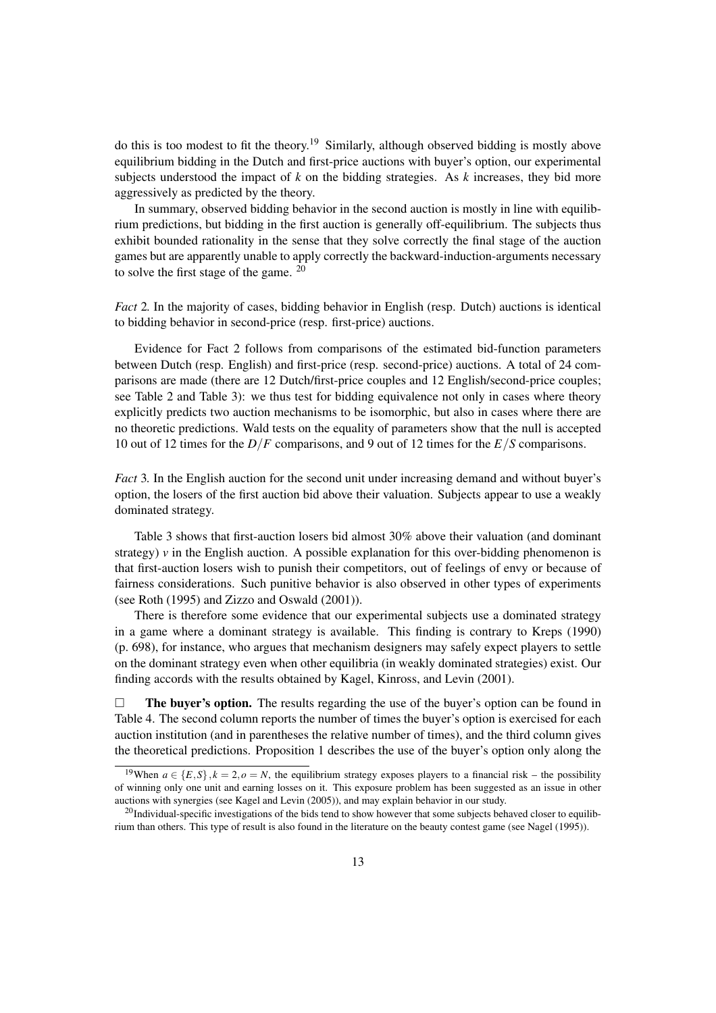do this is too modest to fit the theory.<sup>19</sup> Similarly, although observed bidding is mostly above equilibrium bidding in the Dutch and first-price auctions with buyer's option, our experimental subjects understood the impact of *k* on the bidding strategies. As *k* increases, they bid more aggressively as predicted by the theory.

In summary, observed bidding behavior in the second auction is mostly in line with equilibrium predictions, but bidding in the first auction is generally off-equilibrium. The subjects thus exhibit bounded rationality in the sense that they solve correctly the final stage of the auction games but are apparently unable to apply correctly the backward-induction-arguments necessary to solve the first stage of the game. <sup>20</sup>

*Fact* 2*.* In the majority of cases, bidding behavior in English (resp. Dutch) auctions is identical to bidding behavior in second-price (resp. first-price) auctions.

Evidence for Fact 2 follows from comparisons of the estimated bid-function parameters between Dutch (resp. English) and first-price (resp. second-price) auctions. A total of 24 comparisons are made (there are 12 Dutch/first-price couples and 12 English/second-price couples; see Table 2 and Table 3): we thus test for bidding equivalence not only in cases where theory explicitly predicts two auction mechanisms to be isomorphic, but also in cases where there are no theoretic predictions. Wald tests on the equality of parameters show that the null is accepted 10 out of 12 times for the *D*/*F* comparisons, and 9 out of 12 times for the *E*/*S* comparisons.

*Fact* 3*.* In the English auction for the second unit under increasing demand and without buyer's option, the losers of the first auction bid above their valuation. Subjects appear to use a weakly dominated strategy.

Table 3 shows that first-auction losers bid almost 30% above their valuation (and dominant strategy)  $\nu$  in the English auction. A possible explanation for this over-bidding phenomenon is that first-auction losers wish to punish their competitors, out of feelings of envy or because of fairness considerations. Such punitive behavior is also observed in other types of experiments (see Roth (1995) and Zizzo and Oswald (2001)).

There is therefore some evidence that our experimental subjects use a dominated strategy in a game where a dominant strategy is available. This finding is contrary to Kreps (1990) (p. 698), for instance, who argues that mechanism designers may safely expect players to settle on the dominant strategy even when other equilibria (in weakly dominated strategies) exist. Our finding accords with the results obtained by Kagel, Kinross, and Levin (2001).

 $\Box$  The buyer's option. The results regarding the use of the buyer's option can be found in Table 4. The second column reports the number of times the buyer's option is exercised for each auction institution (and in parentheses the relative number of times), and the third column gives the theoretical predictions. Proposition 1 describes the use of the buyer's option only along the

<sup>&</sup>lt;sup>19</sup>When  $a \in \{E, S\}, k = 2, o = N$ , the equilibrium strategy exposes players to a financial risk – the possibility of winning only one unit and earning losses on it. This exposure problem has been suggested as an issue in other auctions with synergies (see Kagel and Levin (2005)), and may explain behavior in our study.

 $^{20}$ Individual-specific investigations of the bids tend to show however that some subjects behaved closer to equilibrium than others. This type of result is also found in the literature on the beauty contest game (see Nagel (1995)).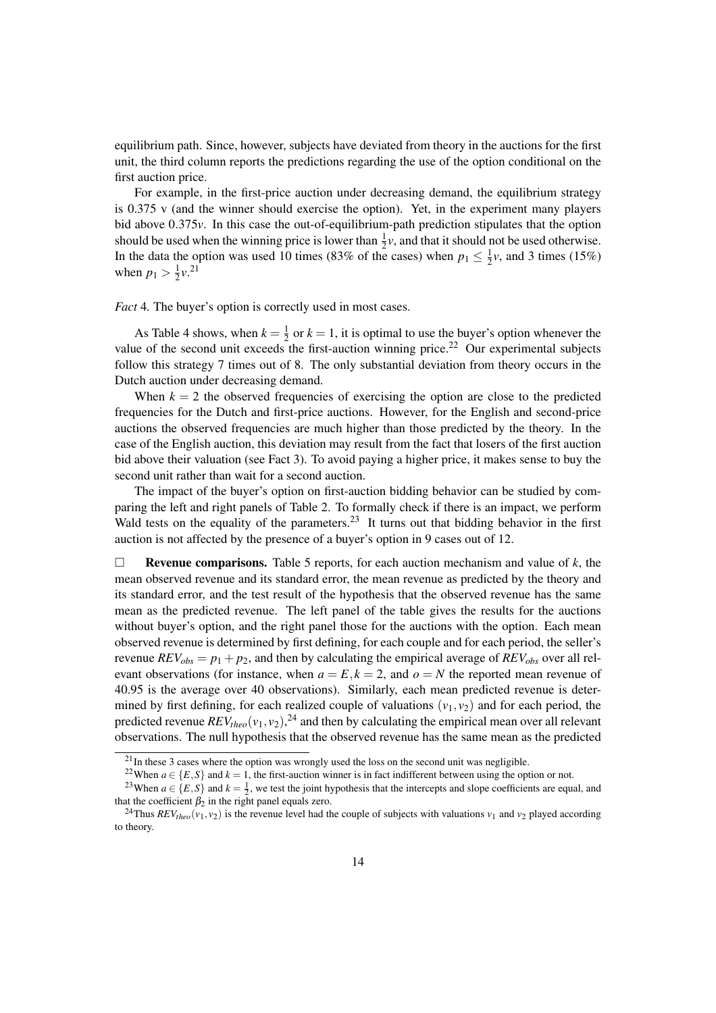equilibrium path. Since, however, subjects have deviated from theory in the auctions for the first unit, the third column reports the predictions regarding the use of the option conditional on the first auction price.

For example, in the first-price auction under decreasing demand, the equilibrium strategy is 0.375 v (and the winner should exercise the option). Yet, in the experiment many players bid above 0.375*v*. In this case the out-of-equilibrium-path prediction stipulates that the option should be used when the winning price is lower than  $\frac{1}{2}v$ , and that it should not be used otherwise. In the data the option was used 10 times (83% of the cases) when  $p_1 \n\t\leq \frac{1}{2} \nu$ , and 3 times (15%) when  $p_1 > \frac{1}{2}v^{21}$ 

*Fact* 4*.* The buyer's option is correctly used in most cases.

As Table 4 shows, when  $k = \frac{1}{2}$  or  $k = 1$ , it is optimal to use the buyer's option whenever the value of the second unit exceeds the first-auction winning price.<sup>22</sup> Our experimental subjects follow this strategy 7 times out of 8. The only substantial deviation from theory occurs in the Dutch auction under decreasing demand.

When  $k = 2$  the observed frequencies of exercising the option are close to the predicted frequencies for the Dutch and first-price auctions. However, for the English and second-price auctions the observed frequencies are much higher than those predicted by the theory. In the case of the English auction, this deviation may result from the fact that losers of the first auction bid above their valuation (see Fact 3). To avoid paying a higher price, it makes sense to buy the second unit rather than wait for a second auction.

The impact of the buyer's option on first-auction bidding behavior can be studied by comparing the left and right panels of Table 2. To formally check if there is an impact, we perform Wald tests on the equality of the parameters.<sup>23</sup> It turns out that bidding behavior in the first auction is not affected by the presence of a buyer's option in 9 cases out of 12.

**Revenue comparisons.** Table 5 reports, for each auction mechanism and value of  $k$ , the mean observed revenue and its standard error, the mean revenue as predicted by the theory and its standard error, and the test result of the hypothesis that the observed revenue has the same mean as the predicted revenue. The left panel of the table gives the results for the auctions without buyer's option, and the right panel those for the auctions with the option. Each mean observed revenue is determined by first defining, for each couple and for each period, the seller's revenue  $REV_{obs} = p_1 + p_2$ , and then by calculating the empirical average of  $REV_{obs}$  over all relevant observations (for instance, when  $a = E$ ,  $k = 2$ , and  $o = N$  the reported mean revenue of 40.95 is the average over 40 observations). Similarly, each mean predicted revenue is determined by first defining, for each realized couple of valuations  $(v_1, v_2)$  and for each period, the predicted revenue  $REV_{theo}(v_1, v_2)$ ,  $^{24}$  and then by calculating the empirical mean over all relevant observations. The null hypothesis that the observed revenue has the same mean as the predicted

<sup>&</sup>lt;sup>21</sup>In these 3 cases where the option was wrongly used the loss on the second unit was negligible.

<sup>&</sup>lt;sup>22</sup>When  $a \in \{E, S\}$  and  $k = 1$ , the first-auction winner is in fact indifferent between using the option or not.

<sup>&</sup>lt;sup>23</sup>When  $a \in \{E, S\}$  and  $k = \frac{1}{2}$ , we test the joint hypothesis that the intercepts and slope coefficients are equal, and that the coefficient  $\beta_2$  in the right panel equals zero.

<sup>&</sup>lt;sup>24</sup>Thus *REV<sub>theo</sub>*( $v_1, v_2$ ) is the revenue level had the couple of subjects with valuations  $v_1$  and  $v_2$  played according to theory.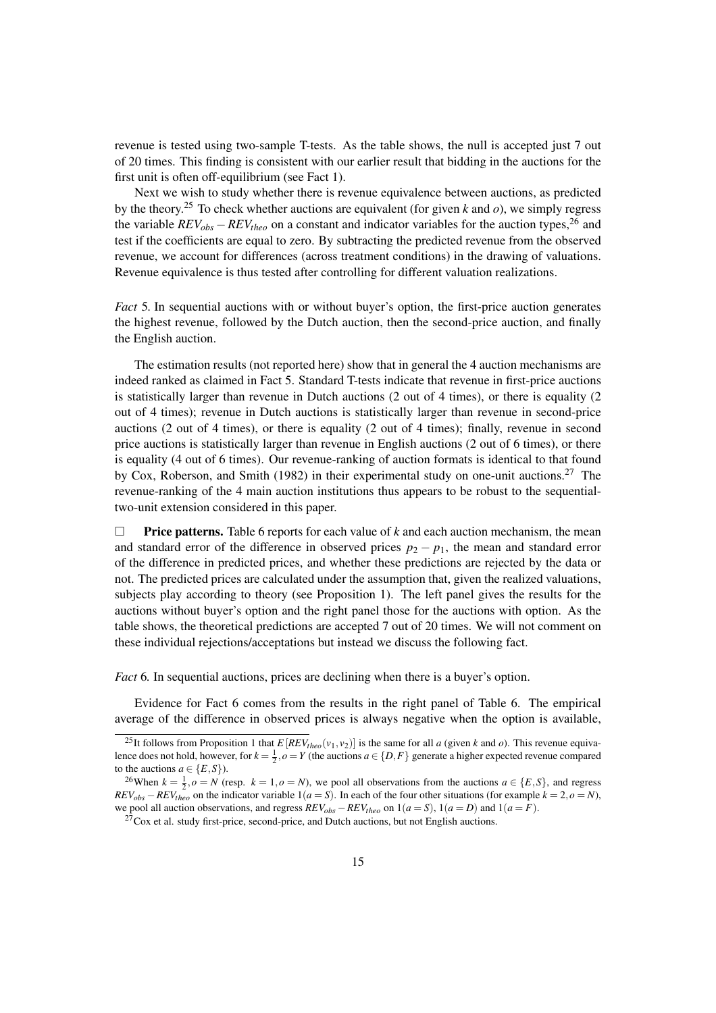revenue is tested using two-sample T-tests. As the table shows, the null is accepted just 7 out of 20 times. This finding is consistent with our earlier result that bidding in the auctions for the first unit is often off-equilibrium (see Fact 1).

Next we wish to study whether there is revenue equivalence between auctions, as predicted by the theory.<sup>25</sup> To check whether auctions are equivalent (for given  $k$  and  $o$ ), we simply regress the variable  $REV_{obs} - REV_{theo}$  on a constant and indicator variables for the auction types,<sup>26</sup> and test if the coefficients are equal to zero. By subtracting the predicted revenue from the observed revenue, we account for differences (across treatment conditions) in the drawing of valuations. Revenue equivalence is thus tested after controlling for different valuation realizations.

*Fact* 5*.* In sequential auctions with or without buyer's option, the first-price auction generates the highest revenue, followed by the Dutch auction, then the second-price auction, and finally the English auction.

The estimation results (not reported here) show that in general the 4 auction mechanisms are indeed ranked as claimed in Fact 5. Standard T-tests indicate that revenue in first-price auctions is statistically larger than revenue in Dutch auctions (2 out of 4 times), or there is equality (2 out of 4 times); revenue in Dutch auctions is statistically larger than revenue in second-price auctions (2 out of 4 times), or there is equality (2 out of 4 times); finally, revenue in second price auctions is statistically larger than revenue in English auctions (2 out of 6 times), or there is equality (4 out of 6 times). Our revenue-ranking of auction formats is identical to that found by Cox, Roberson, and Smith (1982) in their experimental study on one-unit auctions.<sup>27</sup> The revenue-ranking of the 4 main auction institutions thus appears to be robust to the sequentialtwo-unit extension considered in this paper.

 $\Box$  **Price patterns.** Table 6 reports for each value of  $k$  and each auction mechanism, the mean and standard error of the difference in observed prices  $p_2 - p_1$ , the mean and standard error of the difference in predicted prices, and whether these predictions are rejected by the data or not. The predicted prices are calculated under the assumption that, given the realized valuations, subjects play according to theory (see Proposition 1). The left panel gives the results for the auctions without buyer's option and the right panel those for the auctions with option. As the table shows, the theoretical predictions are accepted 7 out of 20 times. We will not comment on these individual rejections/acceptations but instead we discuss the following fact.

*Fact* 6. In sequential auctions, prices are declining when there is a buyer's option.

Evidence for Fact 6 comes from the results in the right panel of Table 6. The empirical average of the difference in observed prices is always negative when the option is available,

<sup>&</sup>lt;sup>25</sup>It follows from Proposition 1 that  $E[REV_{theo}(v_1, v_2)]$  is the same for all *a* (given *k* and *o*). This revenue equivalence does not hold, however, for  $k = \frac{1}{2}$ ,  $o = Y$  (the auctions  $a \in \{D, F\}$  generate a higher expected revenue compared to the auctions  $a \in \{E, S\}$ ).

<sup>&</sup>lt;sup>26</sup>When  $k = \frac{1}{2}$ ,  $o = N$  (resp.  $k = 1$ ,  $o = N$ ), we pool all observations from the auctions  $a \in \{E, S\}$ , and regress  $REV_{obs} - REV_{theo}$  on the indicator variable 1(*a* = *S*). In each of the four other situations (for example *k* = 2,*o* = *N*), we pool all auction observations, and regress  $REV_{obs} - REV_{theo}$  on  $1(a = S)$ ,  $1(a = D)$  and  $1(a = F)$ .<br><sup>27</sup>Cox et al. study first-price, second-price, and Dutch auctions, but not English auctions.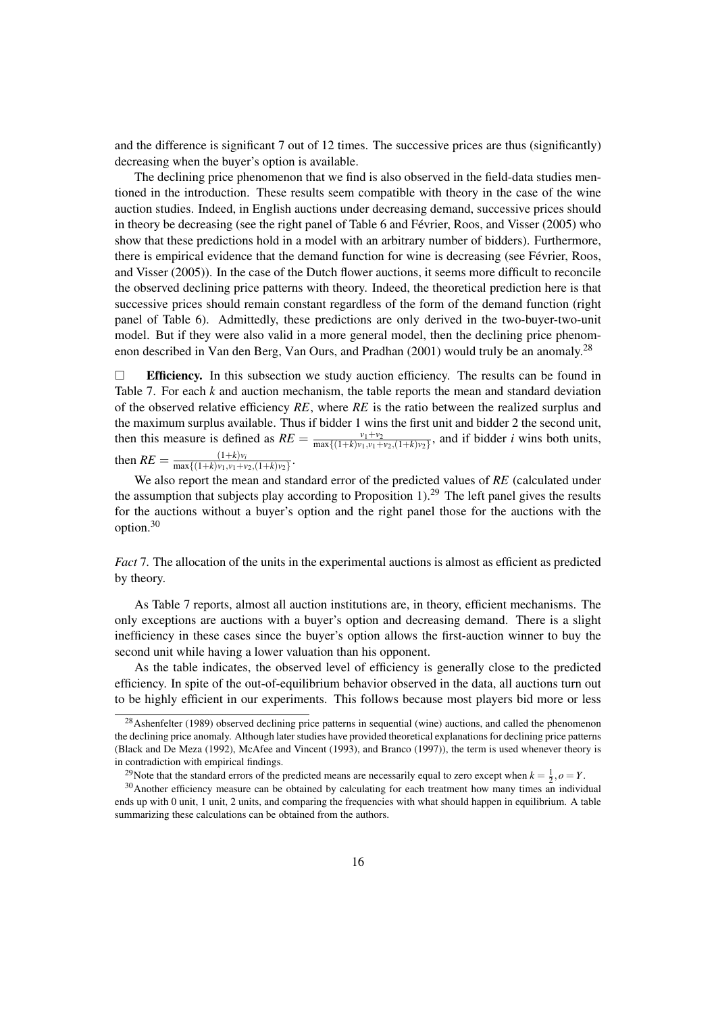and the difference is significant 7 out of 12 times. The successive prices are thus (significantly) decreasing when the buyer's option is available.

The declining price phenomenon that we find is also observed in the field-data studies mentioned in the introduction. These results seem compatible with theory in the case of the wine auction studies. Indeed, in English auctions under decreasing demand, successive prices should in theory be decreasing (see the right panel of Table 6 and Février, Roos, and Visser (2005) who show that these predictions hold in a model with an arbitrary number of bidders). Furthermore, there is empirical evidence that the demand function for wine is decreasing (see Fevrier, Roos, ´ and Visser (2005)). In the case of the Dutch flower auctions, it seems more difficult to reconcile the observed declining price patterns with theory. Indeed, the theoretical prediction here is that successive prices should remain constant regardless of the form of the demand function (right panel of Table 6). Admittedly, these predictions are only derived in the two-buyer-two-unit model. But if they were also valid in a more general model, then the declining price phenomenon described in Van den Berg, Van Ours, and Pradhan (2001) would truly be an anomaly.<sup>28</sup>

 $\Box$  Efficiency. In this subsection we study auction efficiency. The results can be found in Table 7. For each *k* and auction mechanism, the table reports the mean and standard deviation of the observed relative efficiency *RE*, where *RE* is the ratio between the realized surplus and the maximum surplus available. Thus if bidder 1 wins the first unit and bidder 2 the second unit, then this measure is defined as  $RE = \frac{v_1 + v_2}{\max\{(1+k)v_1, v_1+v_2, (1+k)v_2\}}$ , and if bidder *i* wins both units, then  $RE = \frac{(1+k)v_i}{\max\{(1+k)v_1,v_1+v_2,(1+k)v_2\}}$ .

We also report the mean and standard error of the predicted values of *RE* (calculated under the assumption that subjects play according to Proposition 1).<sup>29</sup> The left panel gives the results for the auctions without a buyer's option and the right panel those for the auctions with the option.<sup>30</sup>

*Fact* 7*.* The allocation of the units in the experimental auctions is almost as efficient as predicted by theory.

As Table 7 reports, almost all auction institutions are, in theory, efficient mechanisms. The only exceptions are auctions with a buyer's option and decreasing demand. There is a slight inefficiency in these cases since the buyer's option allows the first-auction winner to buy the second unit while having a lower valuation than his opponent.

As the table indicates, the observed level of efficiency is generally close to the predicted efficiency. In spite of the out-of-equilibrium behavior observed in the data, all auctions turn out to be highly efficient in our experiments. This follows because most players bid more or less

<sup>&</sup>lt;sup>28</sup>Ashenfelter (1989) observed declining price patterns in sequential (wine) auctions, and called the phenomenon the declining price anomaly. Although later studies have provided theoretical explanations for declining price patterns (Black and De Meza (1992), McAfee and Vincent (1993), and Branco (1997)), the term is used whenever theory is in contradiction with empirical findings.

<sup>&</sup>lt;sup>29</sup>Note that the standard errors of the predicted means are necessarily equal to zero except when  $k = \frac{1}{2}$ ,  $o = Y$ .

<sup>&</sup>lt;sup>30</sup> Another efficiency measure can be obtained by calculating for each treatment how many times an individual ends up with 0 unit, 1 unit, 2 units, and comparing the frequencies with what should happen in equilibrium. A table summarizing these calculations can be obtained from the authors.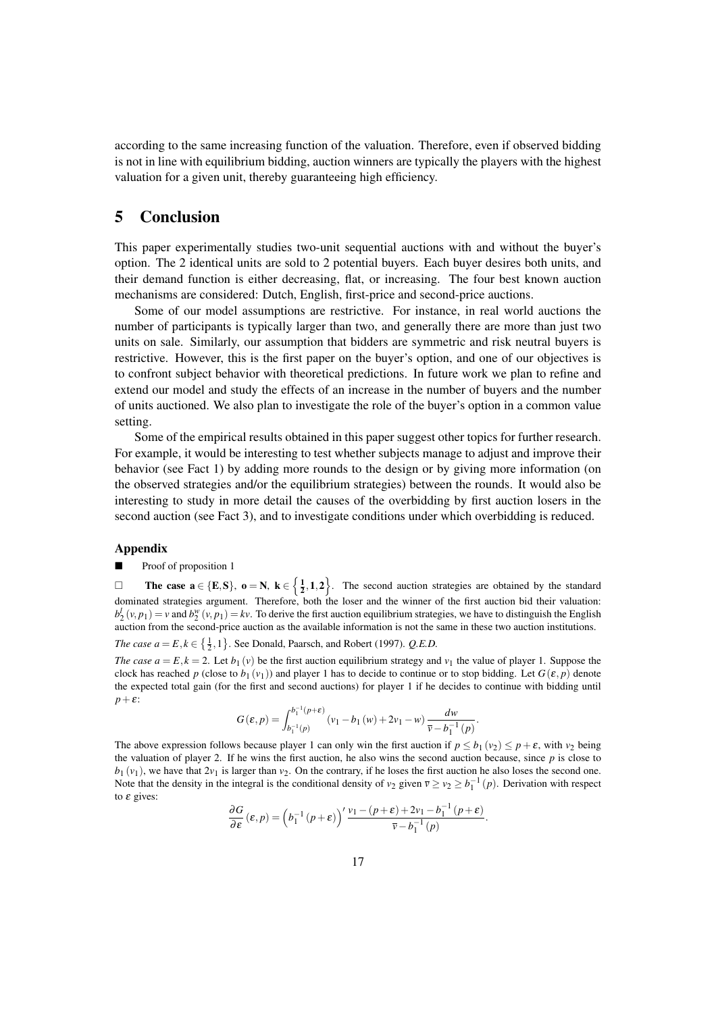according to the same increasing function of the valuation. Therefore, even if observed bidding is not in line with equilibrium bidding, auction winners are typically the players with the highest valuation for a given unit, thereby guaranteeing high efficiency.

# 5 Conclusion

This paper experimentally studies two-unit sequential auctions with and without the buyer's option. The 2 identical units are sold to 2 potential buyers. Each buyer desires both units, and their demand function is either decreasing, flat, or increasing. The four best known auction mechanisms are considered: Dutch, English, first-price and second-price auctions.

Some of our model assumptions are restrictive. For instance, in real world auctions the number of participants is typically larger than two, and generally there are more than just two units on sale. Similarly, our assumption that bidders are symmetric and risk neutral buyers is restrictive. However, this is the first paper on the buyer's option, and one of our objectives is to confront subject behavior with theoretical predictions. In future work we plan to refine and extend our model and study the effects of an increase in the number of buyers and the number of units auctioned. We also plan to investigate the role of the buyer's option in a common value setting.

Some of the empirical results obtained in this paper suggest other topics for further research. For example, it would be interesting to test whether subjects manage to adjust and improve their behavior (see Fact 1) by adding more rounds to the design or by giving more information (on the observed strategies and/or the equilibrium strategies) between the rounds. It would also be interesting to study in more detail the causes of the overbidding by first auction losers in the second auction (see Fact 3), and to investigate conditions under which overbidding is reduced.

#### Appendix

#### -Proof of proposition 1

□ The case  $a \in \{E, S\}$ ,  $o = N$ ,  $k \in \{\frac{1}{2}, 1, 2\}$ . The second auction strategies are obtained by the standard dominated strategies argument. Therefore, both the loser and the winner of the first auction bid their valuation:  $b_2^l$  (*v*, *p*<sub>1</sub>) = *v* and  $b_2^w$  (*v*, *p*<sub>1</sub>) = *kv*. To derive the first auction equilibrium strategies, we have to distinguish the English auction from the second-price auction as the available information is not the same in these two auction institutions.

*The case*  $a = E, k \in \left\{ \frac{1}{2}, 1 \right\}$ *.* See Donald, Paarsch, and Robert (1997). *Q.E.D.* 

*The case a* = *E*, $k$  = 2. Let  $b_1$  (*v*) be the first auction equilibrium strategy and  $v_1$  the value of player 1. Suppose the clock has reached p (close to  $b_1(v_1)$ ) and player 1 has to decide to continue or to stop bidding. Let  $G(\varepsilon, p)$  denote the expected total gain (for the first and second auctions) for player 1 if he decides to continue with bidding until *p*+ε:

$$
G(\varepsilon, p) = \int_{b_1^{-1}(p)}^{b_1^{-1}(p+\varepsilon)} (v_1 - b_1(w) + 2v_1 - w) \frac{dw}{\overline{v} - b_1^{-1}(p)}.
$$

The above expression follows because player 1 can only win the first auction if  $p \leq b_1 (v_2) \leq p + \varepsilon$ , with  $v_2$  being the valuation of player 2. If he wins the first auction, he also wins the second auction because, since *p* is close to  $b_1(v_1)$ , we have that  $2v_1$  is larger than  $v_2$ . On the contrary, if he loses the first auction he also loses the second one. Note that the density in the integral is the conditional density of *v*<sub>2</sub> given  $\bar{v} \ge v_2 \ge b_1^{-1}(p)$ . Derivation with respect to  $\varepsilon$  gives:

$$
\frac{\partial G}{\partial \varepsilon}\left(\varepsilon,p\right)=\left(b_1^{-1}\left(p+\varepsilon\right)\right)'\frac{v_1-\left(p+\varepsilon\right)+2v_1-b_1^{-1}\left(p+\varepsilon\right)}{\overline{v}-b_1^{-1}\left(p\right)}.
$$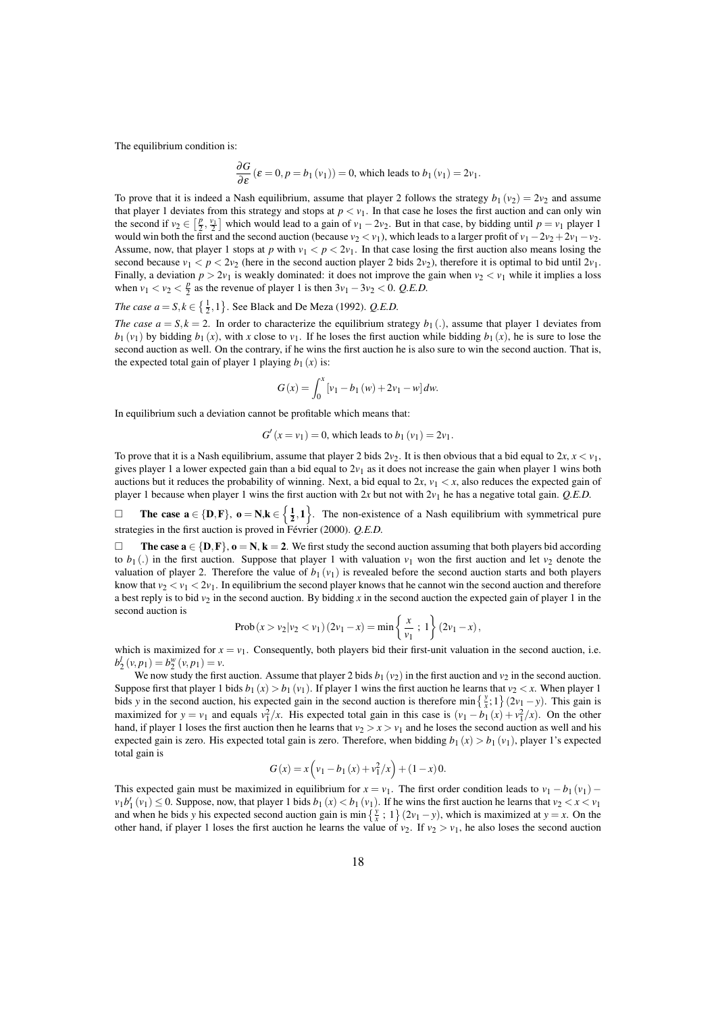The equilibrium condition is:

$$
\frac{\partial G}{\partial \varepsilon} (\varepsilon = 0, p = b_1(v_1)) = 0
$$
, which leads to  $b_1(v_1) = 2v_1$ .

To prove that it is indeed a Nash equilibrium, assume that player 2 follows the strategy  $b_1(v_2) = 2v_2$  and assume that player 1 deviates from this strategy and stops at  $p < v_1$ . In that case he loses the first auction and can only win the second if  $v_2 \in \left[\frac{p}{2}, \frac{v_1}{2}\right]$  which would lead to a gain of  $v_1 - 2v_2$ . But in that case, by bidding until  $p = v_1$  player 1 would win both the first and the second auction (because  $v_2 < v_1$ ), which leads to a larger profit of  $v_1 - 2v_2 + 2v_1 - v_2$ . Assume, now, that player 1 stops at p with  $v_1 < p < 2v_1$ . In that case losing the first auction also means losing the second because  $v_1 < p < 2v_2$  (here in the second auction player 2 bids  $2v_2$ ), therefore it is optimal to bid until  $2v_1$ . Finally, a deviation  $p > 2v_1$  is weakly dominated: it does not improve the gain when  $v_2 < v_1$  while it implies a loss when  $v_1 < v_2 < \frac{p}{2}$  as the revenue of player 1 is then  $3v_1 - 3v_2 < 0$ . *Q.E.D.* 

*The case*  $a = S, k \in \{\frac{1}{2}, 1\}$ *.* See Black and De Meza (1992). *Q.E.D.* 

*The case*  $a = S$ *,*  $k = 2$ *.* In order to characterize the equilibrium strategy  $b_1(.)$ , assume that player 1 deviates from  $b_1$  (*v*<sub>1</sub>) by bidding  $b_1$  (*x*), with *x* close to *v*<sub>1</sub>. If he loses the first auction while bidding  $b_1$  (*x*), he is sure to lose the second auction as well. On the contrary, if he wins the first auction he is also sure to win the second auction. That is, the expected total gain of player 1 playing  $b_1(x)$  is:

$$
G(x) = \int_0^x [v_1 - b_1(w) + 2v_1 - w] dw.
$$

In equilibrium such a deviation cannot be profitable which means that:

$$
G'(x = v_1) = 0
$$
, which leads to  $b_1(v_1) = 2v_1$ .

To prove that it is a Nash equilibrium, assume that player 2 bids  $2v_2$ . It is then obvious that a bid equal to  $2x, x < v_1$ , gives player 1 a lower expected gain than a bid equal to  $2v_1$  as it does not increase the gain when player 1 wins both auctions but it reduces the probability of winning. Next, a bid equal to  $2x$ ,  $v_1 < x$ , also reduces the expected gain of player 1 because when player 1 wins the first auction with  $2x$  but not with  $2v_1$  he has a negative total gain. *Q.E.D.* 

□ The case  $\mathbf{a} \in \{\mathbf{D}, \mathbf{F}\}, \ \mathbf{o} = \mathbf{N}, \mathbf{k} \in \left\{\frac{1}{2}, \mathbf{1}\right\}.$  The non-existence of a Nash equilibrium with symmetrical pure strategies in the first auction is proved in Février (2000). Q.E.D.

 $\Box$  The case  $a \in \{D, F\}$ ,  $o = N$ ,  $k = 2$ . We first study the second auction assuming that both players bid according to  $b_1(.)$  in the first auction. Suppose that player 1 with valuation  $v_1$  won the first auction and let  $v_2$  denote the valuation of player 2. Therefore the value of  $b_1(v_1)$  is revealed before the second auction starts and both players know that  $v_2 < v_1 < 2v_1$ . In equilibrium the second player knows that he cannot win the second auction and therefore a best reply is to bid  $v_2$  in the second auction. By bidding x in the second auction the expected gain of player 1 in the second auction is

Prob 
$$
(x > v_2 | v_2 < v_1) (2v_1 - x) = min \left\{ \frac{x}{v_1}; 1 \right\} (2v_1 - x),
$$

which is maximized for  $x = v_1$ . Consequently, both players bid their first-unit valuation in the second auction, i.e.  $b_2^l(v, p_1) = b_2^w(v, p_1) = v.$ 

We now study the first auction. Assume that player 2 bids  $b_1$  ( $v_2$ ) in the first auction and  $v_2$  in the second auction. Suppose first that player 1 bids  $b_1(x) > b_1(v_1)$ . If player 1 wins the first auction he learns that  $v_2 < x$ . When player 1 bids *y* in the second auction, his expected gain in the second auction is therefore min $\left\{\frac{y}{x};1\right\}(2v_1-y)$ . This gain is maximized for  $y = v_1$  and equals  $v_1^2/x$ . His expected total gain in this case is  $(v_1 - b_1(x) + v_1^2/x)$ . On the other hand, if player 1 loses the first auction then he learns that  $v_2 > x > v_1$  and he loses the second auction as well and his expected gain is zero. His expected total gain is zero. Therefore, when bidding  $b_1(x) > b_1(v_1)$ , player 1's expected total gain is

$$
G(x) = x\left(v_1 - b_1(x) + v_1^2/x\right) + (1 - x)0.
$$

This expected gain must be maximized in equilibrium for  $x = v_1$ . The first order condition leads to  $v_1 - b_1 (v_1)$  $v_1 b_1' (v_1) \leq 0$ . Suppose, now, that player 1 bids  $b_1 (x) < b_1 (v_1)$ . If he wins the first auction he learns that  $v_2 < x < v_1$ and when he bids *y* his expected second auction gain is min $\left\{\frac{y}{x}\right\}$ ; 1} (2*v*<sub>1</sub> − *y*), which is maximized at *y* = *x*. On the other hand, if player 1 loses the first auction he learns the value of  $v_2$ . If  $v_2 > v_1$ , he also loses the second auction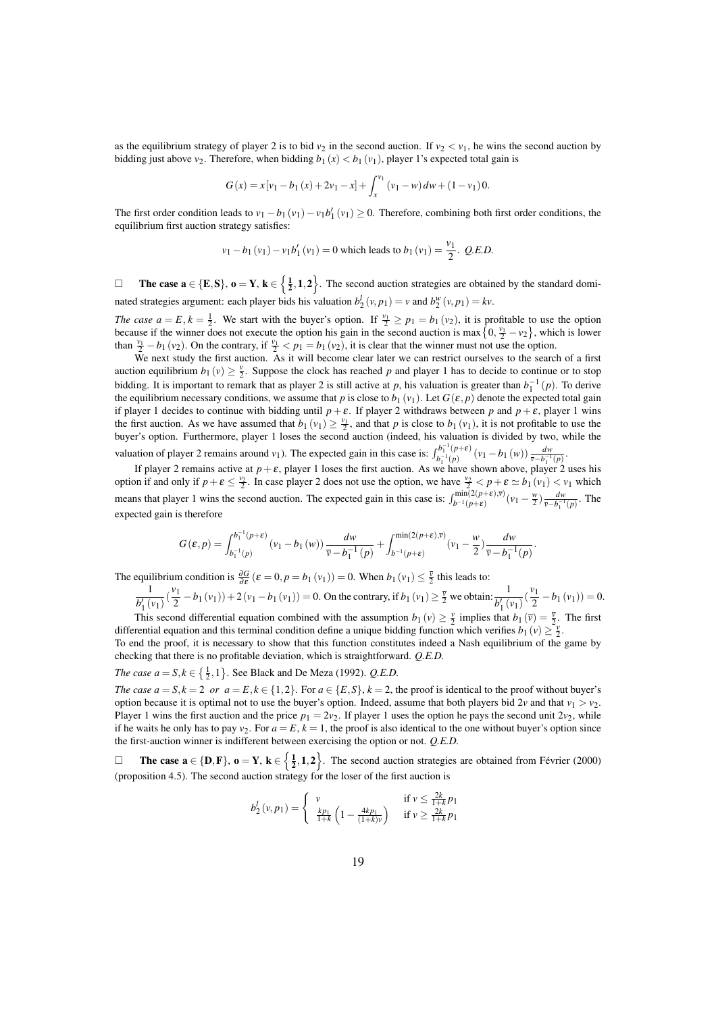as the equilibrium strategy of player 2 is to bid  $v_2$  in the second auction. If  $v_2 < v_1$ , he wins the second auction by bidding just above  $v_2$ . Therefore, when bidding  $b_1(x) < b_1(v_1)$ , player 1's expected total gain is

$$
G(x) = x[v_1 - b_1(x) + 2v_1 - x] + \int_x^{v_1} (v_1 - w) dw + (1 - v_1) 0.
$$

The first order condition leads to  $v_1 - b_1 (v_1) - v_1 b'_1 (v_1) \ge 0$ . Therefore, combining both first order conditions, the equilibrium first auction strategy satisfies:

$$
v_1 - b_1 (v_1) - v_1 b'_1 (v_1) = 0
$$
 which leads to  $b_1 (v_1) = \frac{v_1}{2}$ . Q.E.D.

□ The case  $a \in \{E, S\}$ ,  $o = Y$ ,  $k \in \{\frac{1}{2}, 1, 2\}$ . The second auction strategies are obtained by the standard dominated strategies argument: each player bids his valuation  $b_2^l(v, p_1) = v$  and  $b_2^w(v, p_1) = kv$ .

*The case*  $a = E$ *,*  $k = \frac{1}{2}$ *.* We start with the buyer's option. If  $\frac{v_1}{2} \ge p_1 = b_1(v_2)$ , it is profitable to use the option because if the winner does not execute the option his gain in the second auction is max  $\{0, \frac{v_1}{2} - v_2\}$ , which is lower than  $\frac{v_1}{2} - b_1(v_2)$ . On the contrary, if  $\frac{v_1}{2} < p_1 = b_1(v_2)$ , it is clear that the winner must not use the option.

We next study the first auction. As it will become clear later we can restrict ourselves to the search of a first auction equilibrium  $b_1(v) \ge \frac{v}{2}$ . Suppose the clock has reached p and player 1 has to decide to continue or to stop bidding. It is important to remark that as player 2 is still active at *p*, his valuation is greater than  $b_1^{-1}(p)$ . To derive the equilibrium necessary conditions, we assume that *p* is close to  $b_1(v_1)$ . Let  $G(\varepsilon, p)$  denote the expected total gain if player 1 decides to continue with bidding until  $p + \varepsilon$ . If player 2 withdraws between p and  $p + \varepsilon$ , player 1 wins the first auction. As we have assumed that  $b_1(v_1) \ge \frac{v_1}{2}$ , and that *p* is close to  $b_1(v_1)$ , it is not profitable to use the buyer's option. Furthermore, player 1 loses the second auction (indeed, his valuation is divided by two, while the valuation of player 2 remains around *v*<sub>1</sub>). The expected gain in this case is:  $\int_{b_1^{-1}(p)}^{b_1^{-1}(p+\epsilon)} (v_1 - b_1(w)) \frac{dw}{\bar{v} - b_1^{-1}(p)}$ .

If player 2 remains active at  $p+\varepsilon$ , player 1 loses the first auction. As we have shown above, player 2 uses his option if and only if  $p + \varepsilon \le \frac{v_2}{2}$ . In case player 2 does not use the option, we have  $\frac{v_2}{2} < p + \varepsilon \simeq b_1(v_1) < v_1$  which means that player 1 wins the second auction. The expected gain in this case is:  $\int_{b^{-1}(p+\epsilon)}^{\min(2(p+\epsilon), \bar{v})} (v_1 - \frac{w}{2}) \frac{dw}{\bar{v} - b_1^{-1}(p)}$ . The expected gain is therefore

$$
G(\varepsilon, p) = \int_{b_1^{-1}(p)}^{b_1^{-1}(p+\varepsilon)} (\nu_1 - b_1(w)) \frac{dw}{\overline{\nu} - b_1^{-1}(p)} + \int_{b^{-1}(p+\varepsilon)}^{\min(2(p+\varepsilon), \overline{\nu})} (\nu_1 - \frac{w}{2}) \frac{dw}{\overline{\nu} - b_1^{-1}(p)}.
$$

The equilibrium condition is  $\frac{\partial G}{\partial \varepsilon}(\varepsilon = 0, p = b_1(v_1)) = 0$ . When  $b_1(v_1) \leq \frac{\overline{v}}{2}$  this leads to:

$$
\frac{1}{b'_1(v_1)}(\frac{v_1}{2} - b_1(v_1)) + 2(v_1 - b_1(v_1)) = 0.
$$
 On the contrary, if  $b_1(v_1) \ge \frac{\overline{v}}{2}$  we obtain:  $\frac{1}{b'_1(v_1)}(\frac{v_1}{2} - b_1(v_1)) = 0$ .

This second differential equation combined with the assumption  $b_1(v) \geq \frac{v}{2}$  implies that  $b_1(\overline{v}) = \frac{\overline{v}}{2}$ . The first differential equation and this terminal condition define a unique bidding function which verifies  $b_1(v) \ge \frac{v}{2}$ . To end the proof, it is necessary to show that this function constitutes indeed a Nash equilibrium of the game by

checking that there is no profitable deviation, which is straightforward. *Q.E.D.*

*The case*  $a = S, k \in \{\frac{1}{2}, 1\}$ *.* See Black and De Meza (1992). *Q.E.D.* 

*The case*  $a = S$ ,  $k = 2$  *or*  $a = E$ ,  $k \in \{1, 2\}$ . For  $a \in \{E, S\}$ ,  $k = 2$ , the proof is identical to the proof without buyer's option because it is optimal not to use the buyer's option. Indeed, assume that both players bid 2*v* and that  $v_1 > v_2$ . Player 1 wins the first auction and the price  $p_1 = 2v_2$ . If player 1 uses the option he pays the second unit  $2v_2$ , while if he waits he only has to pay  $v_2$ . For  $a = E$ ,  $k = 1$ , the proof is also identical to the one without buyer's option since the first-auction winner is indifferent between exercising the option or not. *Q.E.D.*

□ The case  $a \in \{D, F\}$ ,  $o = Y$ ,  $k \in \{\frac{1}{2}, 1, 2\}$ . The second auction strategies are obtained from Février (2000) (proposition 4.5). The second auction strategy for the loser of the first auction is

$$
b_2^l(v, p_1) = \begin{cases} v & \text{if } v \le \frac{2k}{1+k} p_1 \\ \frac{k p_1}{1+k} \left(1 - \frac{4k p_1}{(1+k)v}\right) & \text{if } v \ge \frac{2k}{1+k} p_1 \end{cases}
$$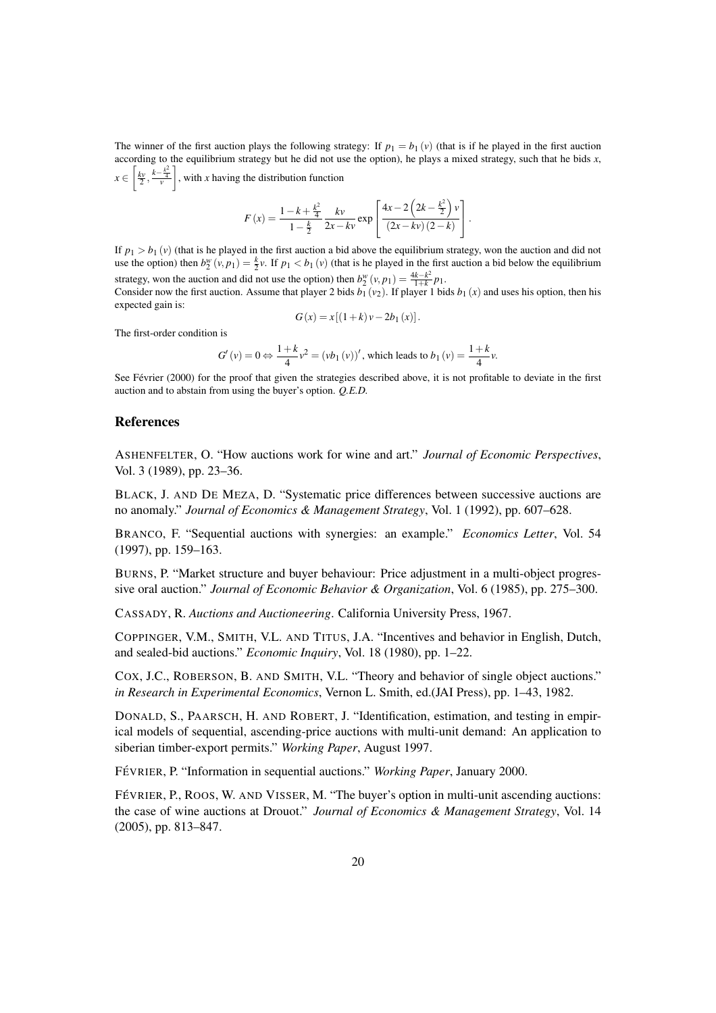The winner of the first auction plays the following strategy: If  $p_1 = b_1(v)$  (that is if he played in the first auction according to the equilibrium strategy but he did not use the option), he plays a mixed strategy, such that he bids *x*,  $x \in \left[\frac{k\nu}{2}, \frac{k-\frac{k^2}{4}}{\nu}\right]$  $\left]$ , with *x* having the distribution function

$$
F(x) = \frac{1 - k + \frac{k^2}{4}}{1 - \frac{k}{2}} \frac{kv}{2x - kv} \exp\left[\frac{4x - 2\left(2k - \frac{k^2}{2}\right)v}{\left(2x - kv\right)\left(2 - k\right)}\right].
$$

If  $p_1 > b_1(v)$  (that is he played in the first auction a bid above the equilibrium strategy, won the auction and did not use the option) then  $b_2^w(v, p_1) = \frac{k}{2}v$ . If  $p_1 < b_1(v)$  (that is he played in the first auction a bid below the equilibrium strategy, won the auction and did not use the option) then  $b_2^w(v, p_1) = \frac{4k - k^2}{1 + k} p_1$ .

Consider now the first auction. Assume that player 2 bids  $b_1(v_2)$ . If player 1 bids  $b_1(x)$  and uses his option, then his expected gain is:

$$
G(x) = x [(1+k)v - 2b_1(x)].
$$

The first-order condition is

$$
G'(v) = 0 \Leftrightarrow \frac{1+k}{4}v^2 = (vb_1(v))'
$$
, which leads to  $b_1(v) = \frac{1+k}{4}v$ .

See Février (2000) for the proof that given the strategies described above, it is not profitable to deviate in the first auction and to abstain from using the buyer's option. *Q.E.D.*

#### **References**

ASHENFELTER, O. "How auctions work for wine and art." *Journal of Economic Perspectives*, Vol. 3 (1989), pp. 23–36.

BLACK, J. AND DE MEZA, D. "Systematic price differences between successive auctions are no anomaly." *Journal of Economics & Management Strategy*, Vol. 1 (1992), pp. 607–628.

BRANCO, F. "Sequential auctions with synergies: an example." *Economics Letter*, Vol. 54 (1997), pp. 159–163.

BURNS, P. "Market structure and buyer behaviour: Price adjustment in a multi-object progressive oral auction." *Journal of Economic Behavior & Organization*, Vol. 6 (1985), pp. 275–300.

CASSADY, R. *Auctions and Auctioneering*. California University Press, 1967.

COPPINGER, V.M., SMITH, V.L. AND TITUS, J.A. "Incentives and behavior in English, Dutch, and sealed-bid auctions." *Economic Inquiry*, Vol. 18 (1980), pp. 1–22.

COX, J.C., ROBERSON, B. AND SMITH, V.L. "Theory and behavior of single object auctions." *in Research in Experimental Economics*, Vernon L. Smith, ed.(JAI Press), pp. 1–43, 1982.

DONALD, S., PAARSCH, H. AND ROBERT, J. "Identification, estimation, and testing in empirical models of sequential, ascending-price auctions with multi-unit demand: An application to siberian timber-export permits." *Working Paper*, August 1997.

FÉVRIER, P. "Information in sequential auctions." *Working Paper*, January 2000.

FÉVRIER, P., ROOS, W. AND VISSER, M. "The buyer's option in multi-unit ascending auctions: the case of wine auctions at Drouot." *Journal of Economics & Management Strategy*, Vol. 14 (2005), pp. 813–847.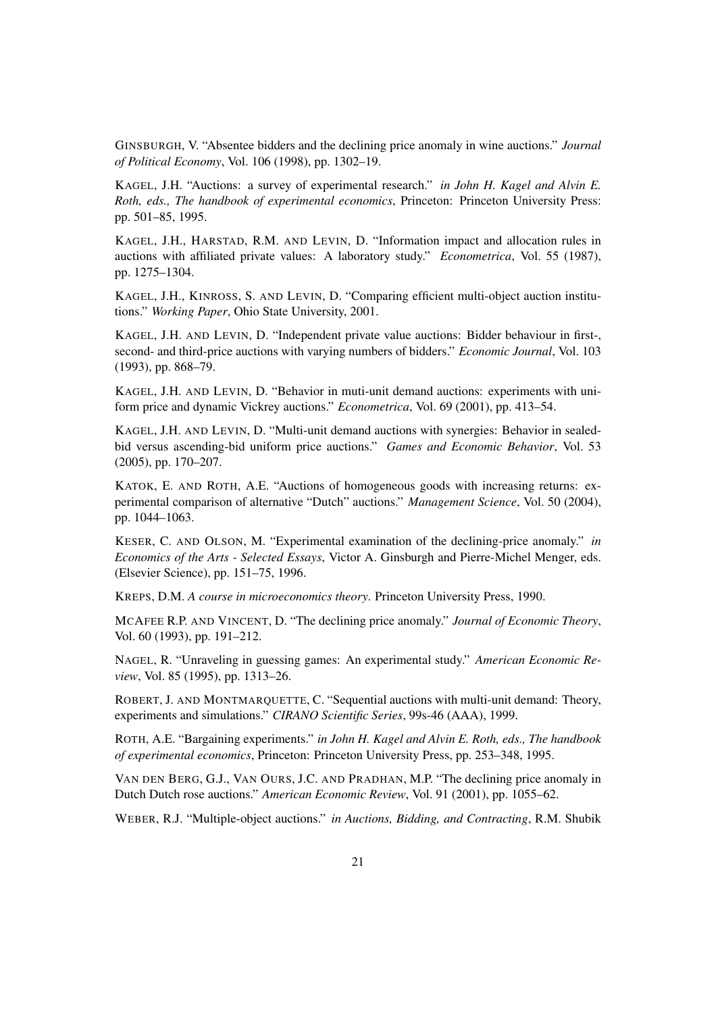GINSBURGH, V. "Absentee bidders and the declining price anomaly in wine auctions." *Journal of Political Economy*, Vol. 106 (1998), pp. 1302–19.

KAGEL, J.H. "Auctions: a survey of experimental research." *in John H. Kagel and Alvin E. Roth, eds., The handbook of experimental economics*, Princeton: Princeton University Press: pp. 501–85, 1995.

KAGEL, J.H., HARSTAD, R.M. AND LEVIN, D. "Information impact and allocation rules in auctions with affiliated private values: A laboratory study." *Econometrica*, Vol. 55 (1987), pp. 1275–1304.

KAGEL, J.H., KINROSS, S. AND LEVIN, D. "Comparing efficient multi-object auction institutions." *Working Paper*, Ohio State University, 2001.

KAGEL, J.H. AND LEVIN, D. "Independent private value auctions: Bidder behaviour in first-, second- and third-price auctions with varying numbers of bidders." *Economic Journal*, Vol. 103 (1993), pp. 868–79.

KAGEL, J.H. AND LEVIN, D. "Behavior in muti-unit demand auctions: experiments with uniform price and dynamic Vickrey auctions." *Econometrica*, Vol. 69 (2001), pp. 413–54.

KAGEL, J.H. AND LEVIN, D. "Multi-unit demand auctions with synergies: Behavior in sealedbid versus ascending-bid uniform price auctions." *Games and Economic Behavior*, Vol. 53 (2005), pp. 170–207.

KATOK, E. AND ROTH, A.E. "Auctions of homogeneous goods with increasing returns: experimental comparison of alternative "Dutch" auctions." *Management Science*, Vol. 50 (2004), pp. 1044–1063.

KESER, C. AND OLSON, M. "Experimental examination of the declining-price anomaly." *in Economics of the Arts - Selected Essays*, Victor A. Ginsburgh and Pierre-Michel Menger, eds. (Elsevier Science), pp. 151–75, 1996.

KREPS, D.M. *A course in microeconomics theory*. Princeton University Press, 1990.

MCAFEE R.P. AND VINCENT, D. "The declining price anomaly." *Journal of Economic Theory*, Vol. 60 (1993), pp. 191–212.

NAGEL, R. "Unraveling in guessing games: An experimental study." *American Economic Review*, Vol. 85 (1995), pp. 1313–26.

ROBERT, J. AND MONTMARQUETTE, C. "Sequential auctions with multi-unit demand: Theory, experiments and simulations." *CIRANO Scientific Series*, 99s-46 (AAA), 1999.

ROTH, A.E. "Bargaining experiments." *in John H. Kagel and Alvin E. Roth, eds., The handbook of experimental economics*, Princeton: Princeton University Press, pp. 253–348, 1995.

VAN DEN BERG, G.J., VAN OURS, J.C. AND PRADHAN, M.P. "The declining price anomaly in Dutch Dutch rose auctions." *American Economic Review*, Vol. 91 (2001), pp. 1055–62.

WEBER, R.J. "Multiple-object auctions." *in Auctions, Bidding, and Contracting*, R.M. Shubik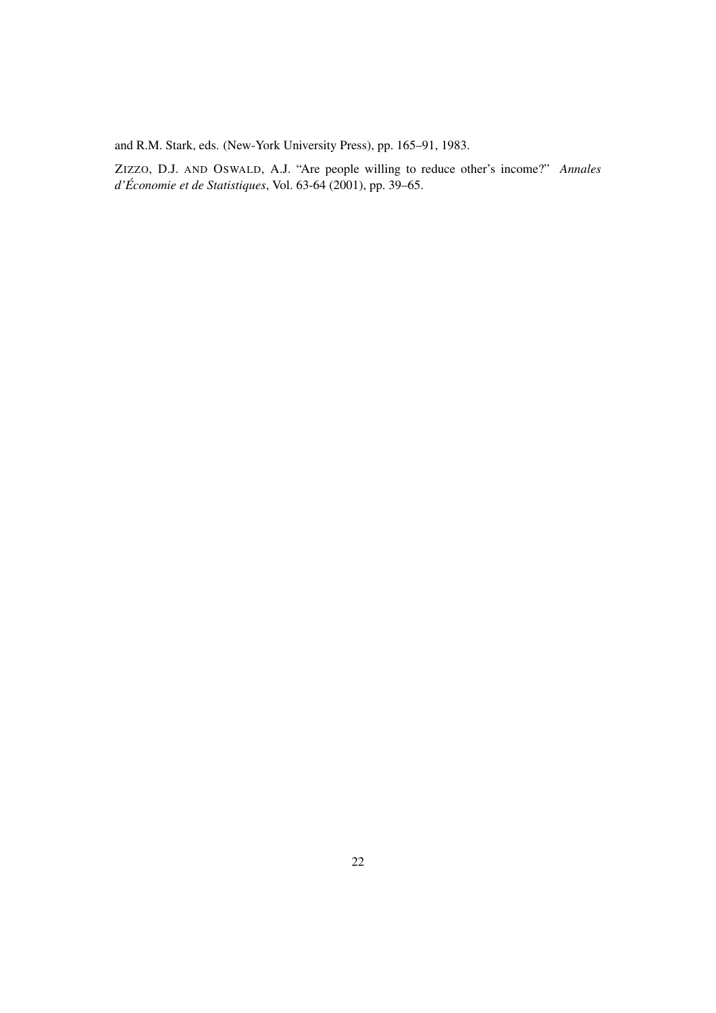and R.M. Stark, eds. (New-York University Press), pp. 165–91, 1983.

ZIZZO, D.J. AND OSWALD, A.J. "Are people willing to reduce other's income?" *Annales d'Economie et de Statistiques ´* , Vol. 63-64 (2001), pp. 39–65.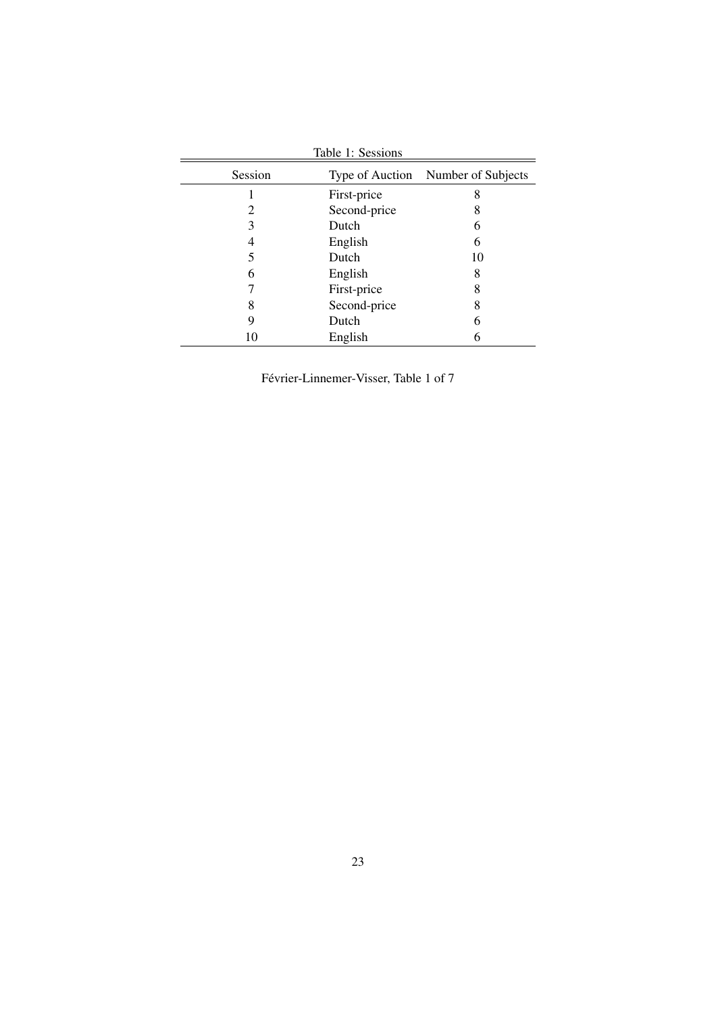| Table 1: Sessions |              |                                    |  |  |  |
|-------------------|--------------|------------------------------------|--|--|--|
| Session           |              | Type of Auction Number of Subjects |  |  |  |
|                   | First-price  | 8                                  |  |  |  |
| 2                 | Second-price | 8                                  |  |  |  |
| 3                 | Dutch        | 6                                  |  |  |  |
|                   | English      | 6                                  |  |  |  |
|                   | Dutch        | 10                                 |  |  |  |
| 6                 | English      | 8                                  |  |  |  |
|                   | First-price  | 8                                  |  |  |  |
| 8                 | Second-price | 8                                  |  |  |  |
| 9                 | Dutch        | 6                                  |  |  |  |
|                   | English      | 6                                  |  |  |  |

Février-Linnemer-Visser, Table 1 of 7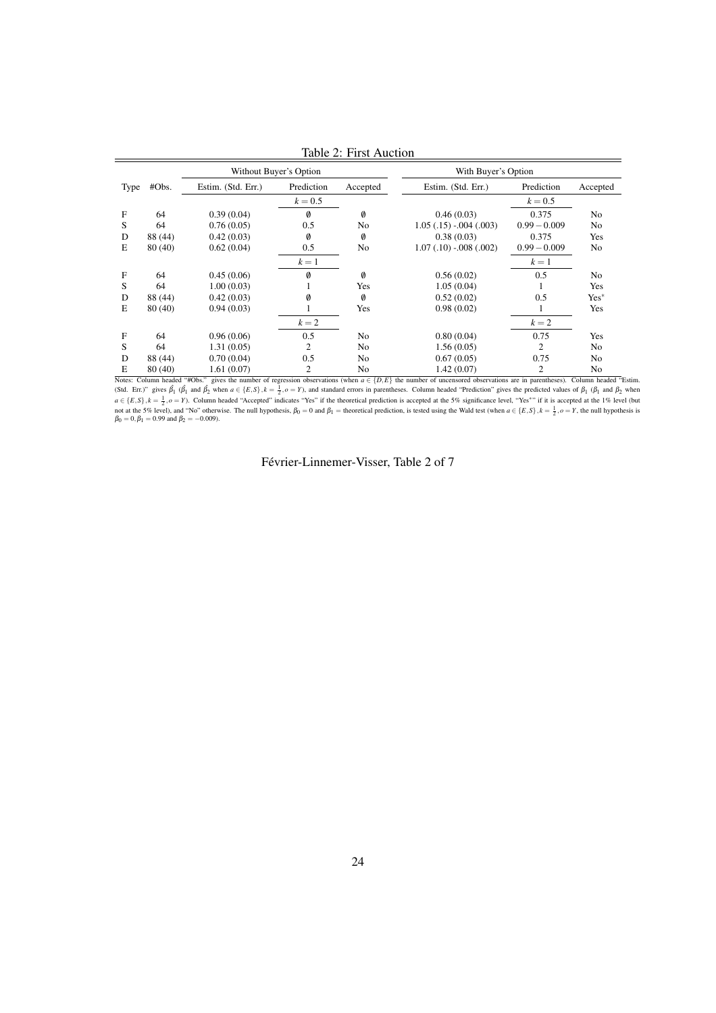| Without Buyer's Option |         |                    |                | With Buyer's Option |                                 |                |                |
|------------------------|---------|--------------------|----------------|---------------------|---------------------------------|----------------|----------------|
| Type                   | #Obs.   | Estim. (Std. Err.) | Prediction     | Accepted            | Estim. (Std. Err.)              | Prediction     | Accepted       |
|                        |         |                    | $k = 0.5$      |                     |                                 | $k = 0.5$      |                |
| F                      | 64      | 0.39(0.04)         | Ø              | Ø                   | 0.46(0.03)                      | 0.375          | N <sub>0</sub> |
| S                      | 64      | 0.76(0.05)         | 0.5            | N <sub>0</sub>      | $1.05$ (.15) $-.004$ (.003)     | $0.99 - 0.009$ | N <sub>0</sub> |
| D                      | 88 (44) | 0.42(0.03)         | Ø              | 0                   | 0.38(0.03)                      | 0.375          | Yes            |
| E                      | 80(40)  | 0.62(0.04)         | 0.5            | N <sub>0</sub>      | $1.07$ $(.10)$ $-.008$ $(.002)$ | $0.99 - 0.009$ | N <sub>0</sub> |
|                        |         |                    | $k=1$          |                     |                                 | $k=1$          |                |
| F                      | 64      | 0.45(0.06)         | Ø              | Ø                   | 0.56(0.02)                      | 0.5            | N <sub>0</sub> |
| S                      | 64      | 1.00(0.03)         |                | Yes                 | 1.05(0.04)                      |                | Yes            |
| D                      | 88 (44) | 0.42(0.03)         | Ø              | Ø                   | 0.52(0.02)                      | 0.5            | $Yes^*$        |
| E                      | 80 (40) | 0.94(0.03)         |                | Yes                 | 0.98(0.02)                      |                | Yes            |
|                        |         |                    | $k=2$          |                     |                                 | $k=2$          |                |
| F                      | 64      | 0.96(0.06)         | 0.5            | N <sub>0</sub>      | 0.80(0.04)                      | 0.75           | Yes            |
| S                      | 64      | 1.31(0.05)         | $\overline{2}$ | N <sub>0</sub>      | 1.56(0.05)                      | 2              | N <sub>0</sub> |
| D                      | 88 (44) | 0.70(0.04)         | 0.5            | N <sub>0</sub>      | 0.67(0.05)                      | 0.75           | N <sub>0</sub> |
| Е                      | 80 (40) | 1.61(0.07)         | 2              | N <sub>0</sub>      | 1.42(0.07)                      | 2              | No             |

Table 2: First Auction

<u>B 80 (40) 1.61 (0.07) 2 No 1.42 (0.07) 2 No 1.42 (0.07) 2 No 1.42 (0.07) 2 No 1.42 (0.07) 2 No<br>
Notes: Column headed "#Obs." gives the number of regression observations (when  $a \in \{D, E\}$  the number of uncensored observa</u>

Février-Linnemer-Visser, Table 2 of 7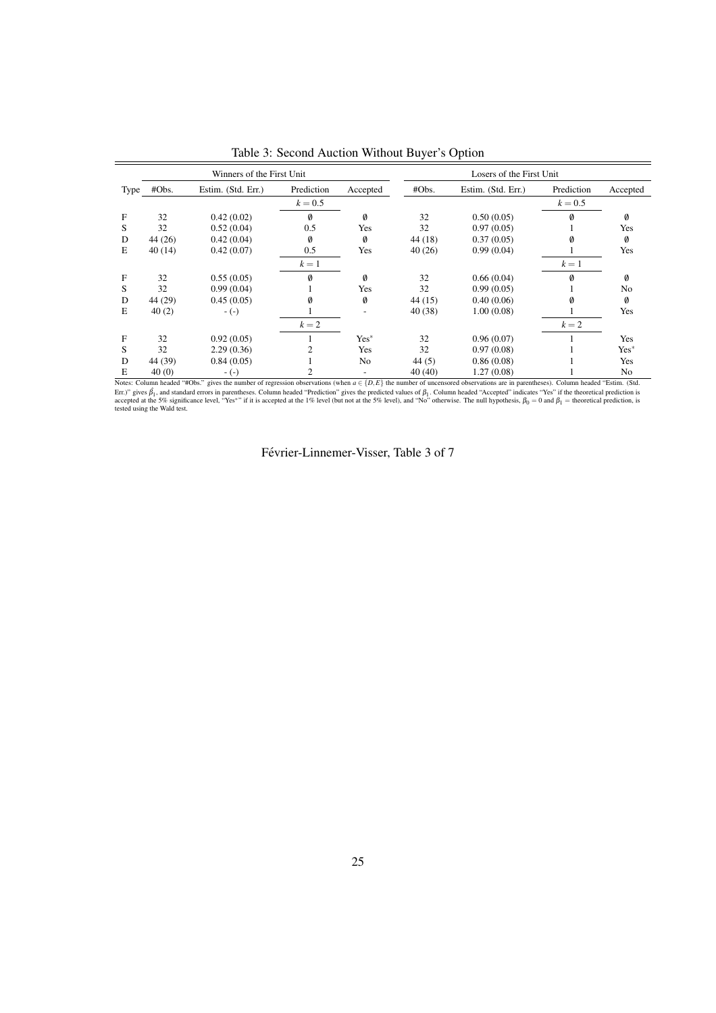| Winners of the First Unit |         |                    |            |                            | Losers of the First Unit |                    |             |                |
|---------------------------|---------|--------------------|------------|----------------------------|--------------------------|--------------------|-------------|----------------|
| Type                      | #Obs.   | Estim. (Std. Err.) | Prediction | Accepted                   | #Obs.                    | Estim. (Std. Err.) | Prediction  | Accepted       |
|                           |         |                    | $k = 0.5$  |                            |                          |                    | $k = 0.5$   |                |
| F                         | 32      | 0.42(0.02)         | Ø          | $\boldsymbol{\varnothing}$ | 32                       | 0.50(0.05)         | Ø           | Ø              |
| S                         | 32      | 0.52(0.04)         | 0.5        | Yes                        | 32                       | 0.97(0.05)         |             | Yes            |
| D                         | 44(26)  | 0.42(0.04)         | Ø          | Ø                          | 44(18)                   | 0.37(0.05)         | Ø           | Ø              |
| E                         | 40(14)  | 0.42(0.07)         | 0.5        | Yes                        | 40(26)                   | 0.99(0.04)         |             | Yes            |
|                           |         |                    | $k=1$      |                            |                          |                    | $k=1$       |                |
| F                         | 32      | 0.55(0.05)         | Ø          | $\boldsymbol{\varnothing}$ | 32                       | 0.66(0.04)         | $\emptyset$ | Ø              |
| S                         | 32      | 0.99(0.04)         |            | Yes                        | 32                       | 0.99(0.05)         |             | N <sub>0</sub> |
| D                         | 44 (29) | 0.45(0.05)         | Ø          | Ø                          | 44(15)                   | 0.40(0.06)         | Ø           | Ø              |
| E                         | 40(2)   | $-(-)$             |            |                            | 40(38)                   | 1.00(0.08)         |             | Yes            |
|                           |         |                    | $k=2$      |                            |                          |                    | $k=2$       |                |
| F                         | 32      | 0.92(0.05)         |            | $Yes*$                     | 32                       | 0.96(0.07)         |             | Yes            |
| S                         | 32      | 2.29(0.36)         | 2          | Yes                        | 32                       | 0.97(0.08)         |             | $Yes^*$        |
| D                         | 44 (39) | 0.84(0.05)         |            | N <sub>0</sub>             | 44(5)                    | 0.86(0.08)         |             | Yes            |
| E                         | 40(0)   | $-(-)$             | 2          |                            | 40 (40)                  | 1.27(0.08)         |             | N <sub>o</sub> |

Table 3: Second Auction Without Buyer's Option

 $\frac{1}{127}$  (0.08)  $\frac{1}{127}$  (0.08)  $\frac{1}{127}$  (0.08)  $\frac{1}{127}$  (0.08)  $\frac{1}{127}$  (0.08)  $\frac{1}{127}$  (0.08)  $\frac{1}{127}$  (0.08)  $\frac{1}{127}$  (0.08)  $\frac{1}{127}$  (0.08)  $\frac{1}{127}$  (0.08)  $\frac{1}{127}$  (0.08)  $\frac{1}{127}$ 

Février-Linnemer-Visser, Table 3 of 7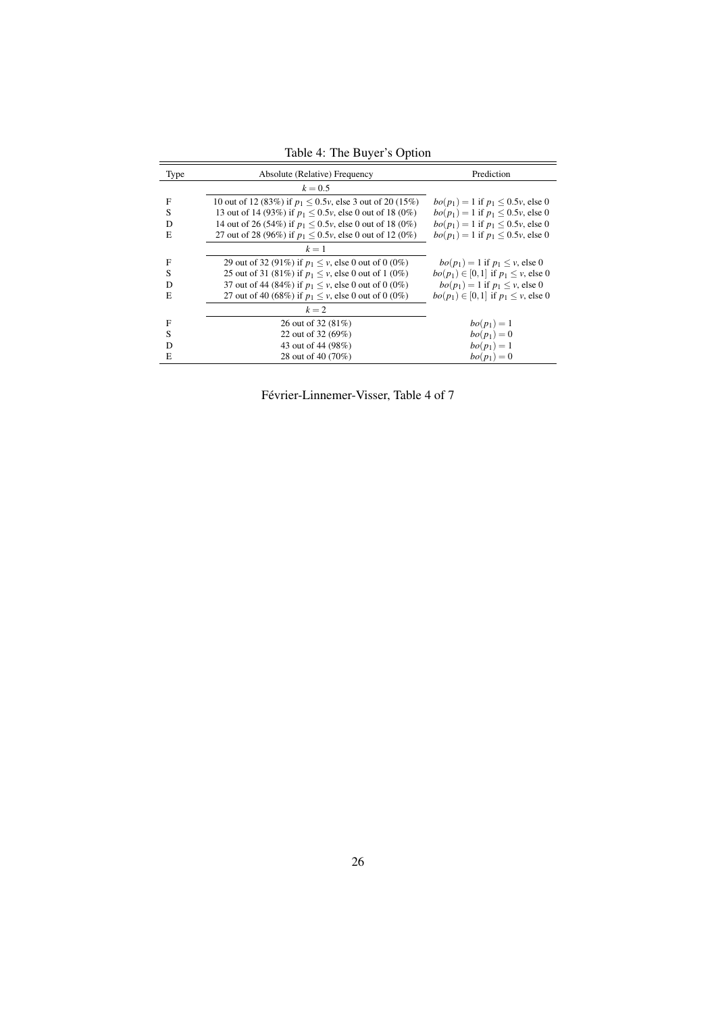|      | ↵<br>л.                                                      |                                             |
|------|--------------------------------------------------------------|---------------------------------------------|
| Type | Absolute (Relative) Frequency                                | Prediction                                  |
|      | $k = 0.5$                                                    |                                             |
| F    | 10 out of 12 (83%) if $p_1 < 0.5v$ , else 3 out of 20 (15%)  | $bo(p_1) = 1$ if $p_1 < 0.5v$ , else 0      |
| S    | 13 out of 14 (93%) if $p_1 \le 0.5v$ , else 0 out of 18 (0%) | $bo(p_1) = 1$ if $p_1 < 0.5v$ , else 0      |
| D    | 14 out of 26 (54%) if $p_1 < 0.5v$ , else 0 out of 18 (0%)   | $bo(p_1) = 1$ if $p_1 < 0.5v$ , else 0      |
| E    | 27 out of 28 (96%) if $p_1 < 0.5v$ , else 0 out of 12 (0%)   | $bo(p_1) = 1$ if $p_1 < 0.5v$ , else 0      |
|      | $k=1$                                                        |                                             |
| F    | 29 out of 32 (91%) if $p_1 < v$ , else 0 out of 0 (0%)       | $bo(p_1) = 1$ if $p_1 < v$ , else 0         |
| S    | 25 out of 31 (81%) if $p_1 \le v$ , else 0 out of 1 (0%)     | $bo(p_1) \in [0,1]$ if $p_1 \le v$ , else 0 |
| D    | 37 out of 44 (84%) if $p_1 < v$ , else 0 out of 0 (0%)       | $bo(p_1) = 1$ if $p_1 < v$ , else 0         |
| E    | 27 out of 40 (68%) if $p_1 \le v$ , else 0 out of 0 (0%)     | $bo(p_1) \in [0,1]$ if $p_1 \le v$ , else 0 |
|      | $k=2$                                                        |                                             |
| F    | 26 out of 32 (81%)                                           | $bo(p_1) = 1$                               |
| S    | 22 out of 32 (69%)                                           | $bo(p_1) = 0$                               |
| D    | 43 out of 44 (98%)                                           | $bo(p_1) = 1$                               |
| E    | 28 out of 40 (70%)                                           | $bo(p_1) = 0$                               |

Table 4: The Buyer's Option

Février-Linnemer-Visser, Table 4 of 7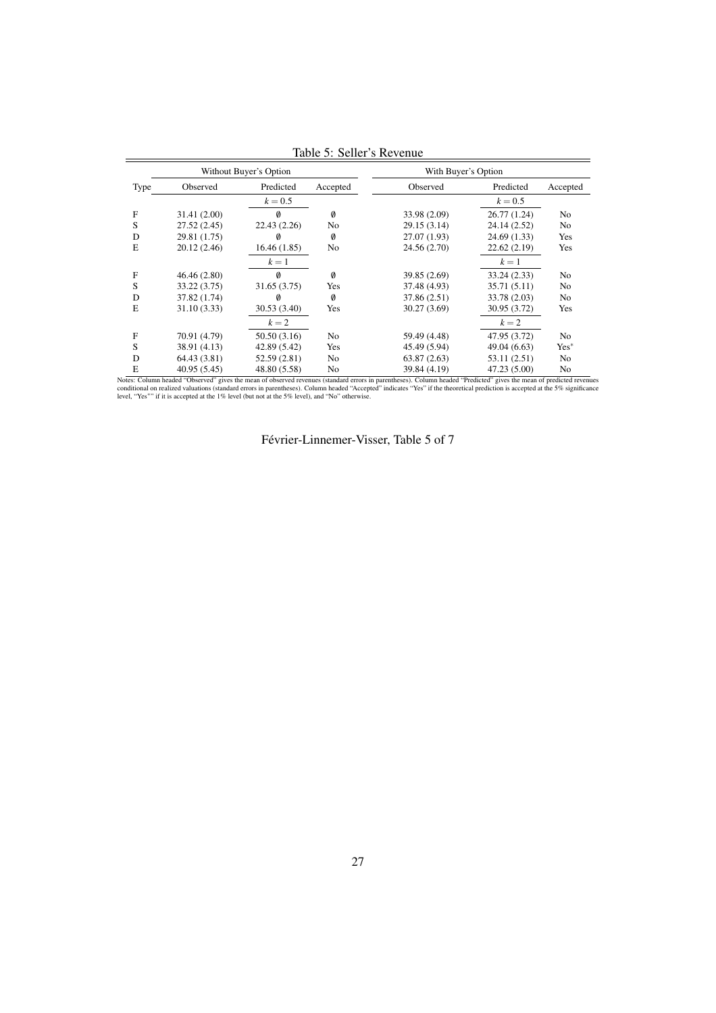|              |              | Without Buyer's Option |                | With Buyer's Option |              |                |
|--------------|--------------|------------------------|----------------|---------------------|--------------|----------------|
| Type         | Observed     | Predicted              | Accepted       | Observed            | Predicted    | Accepted       |
|              |              | $k = 0.5$              |                |                     | $k = 0.5$    |                |
| F            | 31.41 (2.00) | Ø                      | Ø              | 33.98 (2.09)        | 26.77(1.24)  | N <sub>0</sub> |
| S            | 27.52 (2.45) | 22.43 (2.26)           | No             | 29.15 (3.14)        | 24.14 (2.52) | N <sub>0</sub> |
| D            | 29.81 (1.75) | Ø                      | Ø              | 27.07 (1.93)        | 24.69 (1.33) | Yes            |
| E            | 20.12(2.46)  | 16.46(1.85)            | N <sub>o</sub> | 24.56 (2.70)        | 22.62(2.19)  | Yes            |
|              |              | $k=1$                  |                |                     | $k=1$        |                |
| F            | 46.46 (2.80) | Ø                      | Ø              | 39.85 (2.69)        | 33.24(2.33)  | N <sub>0</sub> |
| S            | 33.22 (3.75) | 31.65 (3.75)           | Yes            | 37.48 (4.93)        | 35.71 (5.11) | N <sub>0</sub> |
| D            | 37.82 (1.74) | Ø                      | Ø              | 37.86 (2.51)        | 33.78 (2.03) | N <sub>0</sub> |
| E            | 31.10 (3.33) | 30.53 (3.40)           | Yes            | 30.27 (3.69)        | 30.95 (3.72) | Yes            |
|              |              | $k=2$                  |                |                     | $k=2$        |                |
| $\mathbf{F}$ | 70.91 (4.79) | 50.50 (3.16)           | N <sub>o</sub> | 59.49 (4.48)        | 47.95 (3.72) | N <sub>0</sub> |
| S            | 38.91 (4.13) | 42.89 (5.42)           | Yes            | 45.49 (5.94)        | 49.04 (6.63) | $Yes*$         |
| D            | 64.43 (3.81) | 52.59 (2.81)           | No             | 63.87(2.63)         | 53.11 (2.51) | N <sub>0</sub> |
| E            | 40.95 (5.45) | 48.80 (5.58)           | No             | 39.84 (4.19)        | 47.23 (5.00) | No             |

Table 5: Seller's Revenue

 $\frac{E}{\text{Notes: Column headed "Observed" gives the mean of observed revenues (standard errors in parentheses). Column headed "Predicted" gives the mean of predicted revenues (standard errors in parentheses). Column headed "Predicted" gives the mean of predicted revenues (standard errors in parentheses). Column headed "Predicted" gives the mean of predicted revenues (standard errors in parentheses). Column headed "Predicted" gives the mean of predicted revenues (standard errors in parentheses). Column headed "Predicted" is accepted at the 5% significance level, "Yes" if the theoretical prediction is accepted at the 5% significance.$ 

Février-Linnemer-Visser, Table 5 of 7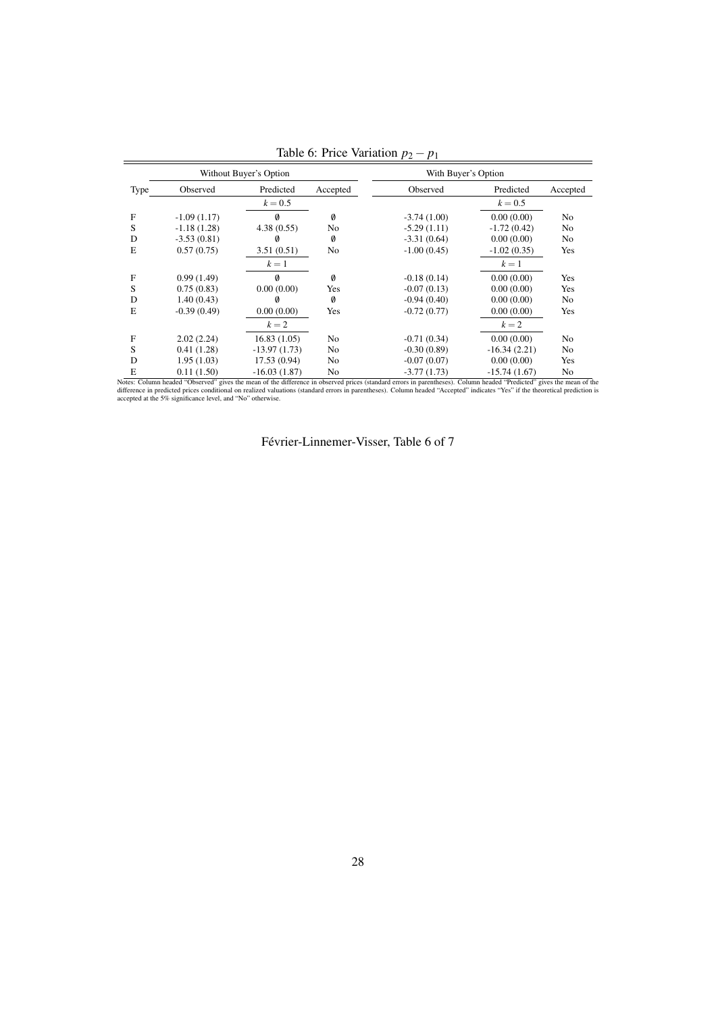| Without Buyer's Option |               |                | With Buyer's Option |               |                |                |
|------------------------|---------------|----------------|---------------------|---------------|----------------|----------------|
| Type                   | Observed      | Predicted      | Accepted            | Observed      | Predicted      | Accepted       |
|                        |               | $k = 0.5$      |                     |               | $k = 0.5$      |                |
| F                      | $-1.09(1.17)$ | Ø              | Ø                   | $-3.74(1.00)$ | 0.00(0.00)     | N <sub>0</sub> |
| S                      | $-1.18(1.28)$ | 4.38(0.55)     | No                  | $-5.29(1.11)$ | $-1.72(0.42)$  | N <sub>0</sub> |
| D                      | $-3.53(0.81)$ | Ø              | Ø                   | $-3.31(0.64)$ | 0.00(0.00)     | N <sub>0</sub> |
| E                      | 0.57(0.75)    | 3.51(0.51)     | No                  | $-1.00(0.45)$ | $-1.02(0.35)$  | Yes            |
|                        |               | $k=1$          |                     |               | $k=1$          |                |
| F                      | 0.99(1.49)    | Ø              | Ø                   | $-0.18(0.14)$ | 0.00(0.00)     | Yes            |
| S                      | 0.75(0.83)    | 0.00(0.00)     | Yes                 | $-0.07(0.13)$ | 0.00(0.00)     | Yes            |
| D                      | 1.40(0.43)    | Ø              | Ø                   | $-0.94(0.40)$ | 0.00(0.00)     | N <sub>0</sub> |
| E                      | $-0.39(0.49)$ | 0.00(0.00)     | Yes                 | $-0.72(0.77)$ | 0.00(0.00)     | Yes            |
|                        |               | $k=2$          |                     |               | $k=2$          |                |
| F                      | 2.02(2.24)    | 16.83(1.05)    | N <sub>0</sub>      | $-0.71(0.34)$ | 0.00(0.00)     | N <sub>0</sub> |
| S                      | 0.41(1.28)    | $-13.97(1.73)$ | N <sub>0</sub>      | $-0.30(0.89)$ | $-16.34(2.21)$ | N <sub>0</sub> |
| D                      | 1.95(1.03)    | 17.53 (0.94)   | N <sub>0</sub>      | $-0.07(0.07)$ | 0.00(0.00)     | Yes            |
| E                      | 0.11(1.50)    | $-16.03(1.87)$ | No                  | $-3.77(1.73)$ | $-15.74(1.67)$ | No             |

Table 6: Price Variation  $p_2 - p_1$ 

 $\frac{E}{\text{Notes: Column headed "Observed" gives the mean of the difference in observed prices (standard errors in parentheses). Column headed "Predicted" gives the mean of the difference in observed prices (standard errors in parentheses). Column headed "Predicted" gives the mean of the difference in observed prices (standard errors in parentheses). Column headed "Predicted" gives the mean of the difference in predicted prices condition or realized valuations (standard errors in parentheses). Column headed "Accepted" indicates "Yes" if the theoretical prediction is accepted at the 5% significance level, and "No" otherwise.$ 

Février-Linnemer-Visser, Table 6 of 7